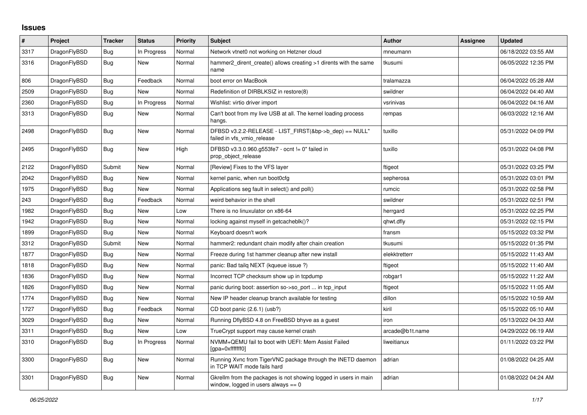## **Issues**

| #    | Project      | <b>Tracker</b> | <b>Status</b> | Priority | <b>Subject</b>                                                                                            | <b>Author</b>   | Assignee | <b>Updated</b>      |
|------|--------------|----------------|---------------|----------|-----------------------------------------------------------------------------------------------------------|-----------------|----------|---------------------|
| 3317 | DragonFlyBSD | Bug            | In Progress   | Normal   | Network vtnet0 not working on Hetzner cloud                                                               | mneumann        |          | 06/18/2022 03:55 AM |
| 3316 | DragonFlyBSD | <b>Bug</b>     | <b>New</b>    | Normal   | hammer2 dirent create() allows creating >1 dirents with the same<br>name                                  | tkusumi         |          | 06/05/2022 12:35 PM |
| 806  | DragonFlyBSD | Bug            | Feedback      | Normal   | boot error on MacBook                                                                                     | tralamazza      |          | 06/04/2022 05:28 AM |
| 2509 | DragonFlyBSD | Bug            | <b>New</b>    | Normal   | Redefinition of DIRBLKSIZ in restore(8)                                                                   | swildner        |          | 06/04/2022 04:40 AM |
| 2360 | DragonFlyBSD | Bug            | In Progress   | Normal   | Wishlist: virtio driver import                                                                            | vsrinivas       |          | 06/04/2022 04:16 AM |
| 3313 | DragonFlyBSD | <b>Bug</b>     | New           | Normal   | Can't boot from my live USB at all. The kernel loading process<br>hangs.                                  | rempas          |          | 06/03/2022 12:16 AM |
| 2498 | DragonFlyBSD | <b>Bug</b>     | New           | Normal   | DFBSD v3.2.2-RELEASE - LIST_FIRST(&bp->b_dep) == NULL"<br>failed in vfs_vmio_release                      | tuxillo         |          | 05/31/2022 04:09 PM |
| 2495 | DragonFlyBSD | <b>Bug</b>     | New           | High     | DFBSD v3.3.0.960.g553fe7 - ocnt != 0" failed in<br>prop_object_release                                    | tuxillo         |          | 05/31/2022 04:08 PM |
| 2122 | DragonFlyBSD | Submit         | New           | Normal   | [Review] Fixes to the VFS layer                                                                           | ftigeot         |          | 05/31/2022 03:25 PM |
| 2042 | DragonFlyBSD | <b>Bug</b>     | New           | Normal   | kernel panic, when run boot0cfg                                                                           | sepherosa       |          | 05/31/2022 03:01 PM |
| 1975 | DragonFlyBSD | Bug            | <b>New</b>    | Normal   | Applications seg fault in select() and poll()                                                             | rumcic          |          | 05/31/2022 02:58 PM |
| 243  | DragonFlyBSD | <b>Bug</b>     | Feedback      | Normal   | weird behavior in the shell                                                                               | swildner        |          | 05/31/2022 02:51 PM |
| 1982 | DragonFlyBSD | Bug            | New           | Low      | There is no linuxulator on x86-64                                                                         | herrgard        |          | 05/31/2022 02:25 PM |
| 1942 | DragonFlyBSD | Bug            | New           | Normal   | locking against myself in getcacheblk()?                                                                  | qhwt.dfly       |          | 05/31/2022 02:15 PM |
| 1899 | DragonFlyBSD | Bug            | New           | Normal   | Keyboard doesn't work                                                                                     | fransm          |          | 05/15/2022 03:32 PM |
| 3312 | DragonFlyBSD | Submit         | New           | Normal   | hammer2: redundant chain modify after chain creation                                                      | tkusumi         |          | 05/15/2022 01:35 PM |
| 1877 | DragonFlyBSD | Bug            | New           | Normal   | Freeze during 1st hammer cleanup after new install                                                        | elekktretterr   |          | 05/15/2022 11:43 AM |
| 1818 | DragonFlyBSD | Bug            | New           | Normal   | panic: Bad tailg NEXT (kqueue issue ?)                                                                    | ftigeot         |          | 05/15/2022 11:40 AM |
| 1836 | DragonFlyBSD | Bug            | New           | Normal   | Incorrect TCP checksum show up in tcpdump                                                                 | robgar1         |          | 05/15/2022 11:22 AM |
| 1826 | DragonFlyBSD | Bug            | New           | Normal   | panic during boot: assertion so->so_port  in tcp_input                                                    | ftigeot         |          | 05/15/2022 11:05 AM |
| 1774 | DragonFlyBSD | Bug            | New           | Normal   | New IP header cleanup branch available for testing                                                        | dillon          |          | 05/15/2022 10:59 AM |
| 1727 | DragonFlyBSD | <b>Bug</b>     | Feedback      | Normal   | CD boot panic (2.6.1) (usb?)                                                                              | kiril           |          | 05/15/2022 05:10 AM |
| 3029 | DragonFlyBSD | Bug            | New           | Normal   | Running DflyBSD 4.8 on FreeBSD bhyve as a guest                                                           | iron            |          | 05/13/2022 04:33 AM |
| 3311 | DragonFlyBSD | <b>Bug</b>     | New           | Low      | TrueCrypt support may cause kernel crash                                                                  | arcade@b1t.name |          | 04/29/2022 06:19 AM |
| 3310 | DragonFlyBSD | Bug            | In Progress   | Normal   | NVMM+QEMU fail to boot with UEFI: Mem Assist Failed<br>[gpa=0xfffffff0]                                   | liweitianux     |          | 01/11/2022 03:22 PM |
| 3300 | DragonFlyBSD | <b>Bug</b>     | New           | Normal   | Running Xvnc from TigerVNC package through the INETD daemon<br>in TCP WAIT mode fails hard                | adrian          |          | 01/08/2022 04:25 AM |
| 3301 | DragonFlyBSD | <b>Bug</b>     | New           | Normal   | Gkrellm from the packages is not showing logged in users in main<br>window, logged in users always $== 0$ | adrian          |          | 01/08/2022 04:24 AM |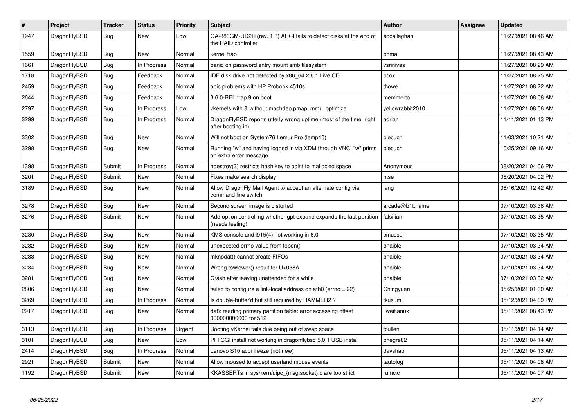| $\vert$ # | Project      | Tracker    | <b>Status</b> | <b>Priority</b> | <b>Subject</b>                                                                             | <b>Author</b>    | Assignee | Updated             |
|-----------|--------------|------------|---------------|-----------------|--------------------------------------------------------------------------------------------|------------------|----------|---------------------|
| 1947      | DragonFlyBSD | Bug        | New           | Low             | GA-880GM-UD2H (rev. 1.3) AHCI fails to detect disks at the end of<br>the RAID controller   | eocallaghan      |          | 11/27/2021 08:46 AM |
| 1559      | DragonFlyBSD | Bug        | New           | Normal          | kernel trap                                                                                | phma             |          | 11/27/2021 08:43 AM |
| 1661      | DragonFlyBSD | <b>Bug</b> | In Progress   | Normal          | panic on password entry mount smb filesystem                                               | vsrinivas        |          | 11/27/2021 08:29 AM |
| 1718      | DragonFlyBSD | Bug        | Feedback      | Normal          | IDE disk drive not detected by x86 64 2.6.1 Live CD                                        | bcox             |          | 11/27/2021 08:25 AM |
| 2459      | DragonFlyBSD | <b>Bug</b> | Feedback      | Normal          | apic problems with HP Probook 4510s                                                        | thowe            |          | 11/27/2021 08:22 AM |
| 2644      | DragonFlyBSD | Bug        | Feedback      | Normal          | 3.6.0-REL trap 9 on boot                                                                   | memmerto         |          | 11/27/2021 08:08 AM |
| 2797      | DragonFlyBSD | <b>Bug</b> | In Progress   | Low             | vkernels with & without machdep.pmap mmu optimize                                          | yellowrabbit2010 |          | 11/27/2021 08:06 AM |
| 3299      | DragonFlyBSD | Bug        | In Progress   | Normal          | DragonFlyBSD reports utterly wrong uptime (most of the time, right<br>after booting in)    | adrian           |          | 11/11/2021 01:43 PM |
| 3302      | DragonFlyBSD | Bug        | New           | Normal          | Will not boot on System76 Lemur Pro (lemp10)                                               | piecuch          |          | 11/03/2021 10:21 AM |
| 3298      | DragonFlyBSD | <b>Bug</b> | <b>New</b>    | Normal          | Running "w" and having logged in via XDM through VNC, "w" prints<br>an extra error message | piecuch          |          | 10/25/2021 09:16 AM |
| 1398      | DragonFlyBSD | Submit     | In Progress   | Normal          | hdestroy(3) restricts hash key to point to malloc'ed space                                 | Anonymous        |          | 08/20/2021 04:06 PM |
| 3201      | DragonFlyBSD | Submit     | New           | Normal          | Fixes make search display                                                                  | htse             |          | 08/20/2021 04:02 PM |
| 3189      | DragonFlyBSD | Bug        | New           | Normal          | Allow DragonFly Mail Agent to accept an alternate config via<br>command line switch        | iang             |          | 08/16/2021 12:42 AM |
| 3278      | DragonFlyBSD | Bug        | <b>New</b>    | Normal          | Second screen image is distorted                                                           | arcade@b1t.name  |          | 07/10/2021 03:36 AM |
| 3276      | DragonFlyBSD | Submit     | <b>New</b>    | Normal          | Add option controlling whether gpt expand expands the last partition<br>(needs testing)    | falsifian        |          | 07/10/2021 03:35 AM |
| 3280      | DragonFlyBSD | Bug        | <b>New</b>    | Normal          | KMS console and i915(4) not working in 6.0                                                 | cmusser          |          | 07/10/2021 03:35 AM |
| 3282      | DragonFlyBSD | Bug        | <b>New</b>    | Normal          | unexpected errno value from fopen()                                                        | bhaible          |          | 07/10/2021 03:34 AM |
| 3283      | DragonFlyBSD | <b>Bug</b> | <b>New</b>    | Normal          | mknodat() cannot create FIFOs                                                              | bhaible          |          | 07/10/2021 03:34 AM |
| 3284      | DragonFlyBSD | Bug        | <b>New</b>    | Normal          | Wrong towlower() result for U+038A                                                         | bhaible          |          | 07/10/2021 03:34 AM |
| 3281      | DragonFlyBSD | <b>Bug</b> | <b>New</b>    | Normal          | Crash after leaving unattended for a while                                                 | bhaible          |          | 07/10/2021 03:32 AM |
| 2806      | DragonFlyBSD | Bug        | New           | Normal          | failed to configure a link-local address on ath0 (errno = 22)                              | Chingyuan        |          | 05/25/2021 01:00 AM |
| 3269      | DragonFlyBSD | Bug        | In Progress   | Normal          | Is double-buffer'd buf still required by HAMMER2?                                          | tkusumi          |          | 05/12/2021 04:09 PM |
| 2917      | DragonFlyBSD | <b>Bug</b> | New           | Normal          | da8: reading primary partition table: error accessing offset<br>000000000000 for 512       | liweitianux      |          | 05/11/2021 08:43 PM |
| 3113      | DragonFlyBSD | Bug        | In Progress   | Urgent          | Booting vKernel fails due being out of swap space                                          | tcullen          |          | 05/11/2021 04:14 AM |
| 3101      | DragonFlyBSD | Bug        | New           | Low             | PFI CGI install not working in dragonflybsd 5.0.1 USB install                              | bnegre82         |          | 05/11/2021 04:14 AM |
| 2414      | DragonFlyBSD | <b>Bug</b> | In Progress   | Normal          | Lenovo S10 acpi freeze (not new)                                                           | davshao          |          | 05/11/2021 04:13 AM |
| 2921      | DragonFlyBSD | Submit     | New           | Normal          | Allow moused to accept userland mouse events                                               | tautolog         |          | 05/11/2021 04:08 AM |
| 1192      | DragonFlyBSD | Submit     | <b>New</b>    | Normal          | KKASSERTs in sys/kern/uipc_{msg,socket}.c are too strict                                   | rumcic           |          | 05/11/2021 04:07 AM |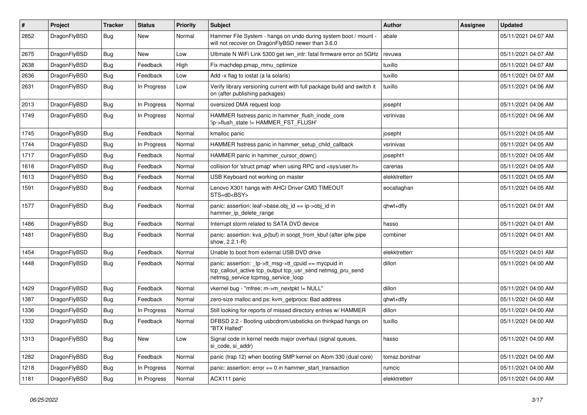| $\sharp$ | Project      | <b>Tracker</b> | <b>Status</b> | <b>Priority</b> | Subject                                                                                                                                                   | Author         | Assignee | <b>Updated</b>      |
|----------|--------------|----------------|---------------|-----------------|-----------------------------------------------------------------------------------------------------------------------------------------------------------|----------------|----------|---------------------|
| 2852     | DragonFlyBSD | Bug            | New           | Normal          | Hammer File System - hangs on undo during system boot / mount -<br>will not recover on DragonFlyBSD newer than 3.6.0                                      | abale          |          | 05/11/2021 04:07 AM |
| 2675     | DragonFlyBSD | Bug            | <b>New</b>    | Low             | Ultimate N WiFi Link 5300 get iwn_intr: fatal firmware error on 5GHz                                                                                      | revuwa         |          | 05/11/2021 04:07 AM |
| 2638     | DragonFlyBSD | Bug            | Feedback      | High            | Fix machdep.pmap_mmu_optimize                                                                                                                             | tuxillo        |          | 05/11/2021 04:07 AM |
| 2636     | DragonFlyBSD | Bug            | Feedback      | Low             | Add -x flag to iostat (a la solaris)                                                                                                                      | tuxillo        |          | 05/11/2021 04:07 AM |
| 2631     | DragonFlyBSD | Bug            | In Progress   | Low             | Verify library versioning current with full package build and switch it<br>on (after publishing packages)                                                 | tuxillo        |          | 05/11/2021 04:06 AM |
| 2013     | DragonFlyBSD | Bug            | In Progress   | Normal          | oversized DMA request loop                                                                                                                                | josepht        |          | 05/11/2021 04:06 AM |
| 1749     | DragonFlyBSD | Bug            | In Progress   | Normal          | HAMMER fsstress panic in hammer_flush_inode_core<br>'ip->flush_state != HAMMER_FST_FLUSH'                                                                 | vsrinivas      |          | 05/11/2021 04:06 AM |
| 1745     | DragonFlyBSD | Bug            | Feedback      | Normal          | kmalloc panic                                                                                                                                             | josepht        |          | 05/11/2021 04:05 AM |
| 1744     | DragonFlyBSD | Bug            | In Progress   | Normal          | HAMMER fsstress panic in hammer_setup_child_callback                                                                                                      | vsrinivas      |          | 05/11/2021 04:05 AM |
| 1717     | DragonFlyBSD | Bug            | Feedback      | Normal          | HAMMER panic in hammer_cursor_down()                                                                                                                      | josepht1       |          | 05/11/2021 04:05 AM |
| 1618     | DragonFlyBSD | Bug            | Feedback      | Normal          | collision for 'struct pmap' when using RPC and <sys user.h=""></sys>                                                                                      | carenas        |          | 05/11/2021 04:05 AM |
| 1613     | DragonFlyBSD | Bug            | Feedback      | Normal          | USB Keyboard not working on master                                                                                                                        | elekktretterr  |          | 05/11/2021 04:05 AM |
| 1591     | DragonFlyBSD | Bug            | Feedback      | Normal          | Lenovo X301 hangs with AHCI Driver CMD TIMEOUT<br>STS=d0 <bsy></bsy>                                                                                      | eocallaghan    |          | 05/11/2021 04:05 AM |
| 1577     | DragonFlyBSD | Bug            | Feedback      | Normal          | panic: assertion: leaf->base.obj_id == ip->obj_id in<br>hammer_ip_delete_range                                                                            | qhwt+dfly      |          | 05/11/2021 04:01 AM |
| 1486     | DragonFlyBSD | Bug            | Feedback      | Normal          | Interrupt storm related to SATA DVD device                                                                                                                | hasso          |          | 05/11/2021 04:01 AM |
| 1481     | DragonFlyBSD | Bug            | Feedback      | Normal          | panic: assertion: kva_p(buf) in soopt_from_kbuf (after ipfw pipe<br>show, 2.2.1-R)                                                                        | combiner       |          | 05/11/2021 04:01 AM |
| 1454     | DragonFlyBSD | Bug            | Feedback      | Normal          | Unable to boot from external USB DVD drive                                                                                                                | elekktretterr  |          | 05/11/2021 04:01 AM |
| 1448     | DragonFlyBSD | Bug            | Feedback      | Normal          | panic: assertion: _tp->tt_msg->tt_cpuid == mycpuid in<br>tcp_callout_active tcp_output tcp_usr_send netmsg_pru_send<br>netmsg_service tcpmsg_service_loop | dillon         |          | 05/11/2021 04:00 AM |
| 1429     | DragonFlyBSD | Bug            | Feedback      | Normal          | vkernel bug - "mfree: m->m_nextpkt != NULL"                                                                                                               | dillon         |          | 05/11/2021 04:00 AM |
| 1387     | DragonFlyBSD | <b>Bug</b>     | Feedback      | Normal          | zero-size malloc and ps: kvm_getprocs: Bad address                                                                                                        | qhwt+dfly      |          | 05/11/2021 04:00 AM |
| 1336     | DragonFlyBSD | Bug            | In Progress   | Normal          | Still looking for reports of missed directory entries w/ HAMMER                                                                                           | dillon         |          | 05/11/2021 04:00 AM |
| 1332     | DragonFlyBSD | <b>Bug</b>     | Feedback      | Normal          | DFBSD 2.2 - Booting usbcdrom/usbsticks on thinkpad hangs on<br>"BTX Halted"                                                                               | tuxillo        |          | 05/11/2021 04:00 AM |
| 1313     | DragonFlyBSD | Bug            | New           | Low             | Signal code in kernel needs major overhaul (signal queues,<br>si code, si addr)                                                                           | hasso          |          | 05/11/2021 04:00 AM |
| 1282     | DragonFlyBSD | <b>Bug</b>     | Feedback      | Normal          | panic (trap 12) when booting SMP kernel on Atom 330 (dual core)                                                                                           | tomaz.borstnar |          | 05/11/2021 04:00 AM |
| 1218     | DragonFlyBSD | <b>Bug</b>     | In Progress   | Normal          | panic: assertion: $error == 0$ in hammer start transaction                                                                                                | rumcic         |          | 05/11/2021 04:00 AM |
| 1181     | DragonFlyBSD | <b>Bug</b>     | In Progress   | Normal          | ACX111 panic                                                                                                                                              | elekktretterr  |          | 05/11/2021 04:00 AM |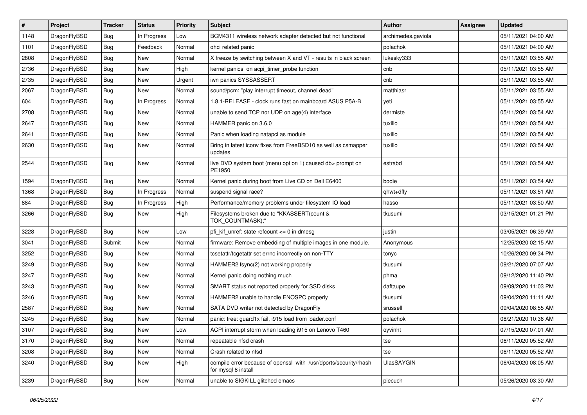| $\pmb{\#}$ | Project      | <b>Tracker</b> | <b>Status</b> | <b>Priority</b> | Subject                                                                                 | <b>Author</b>      | Assignee | <b>Updated</b>      |
|------------|--------------|----------------|---------------|-----------------|-----------------------------------------------------------------------------------------|--------------------|----------|---------------------|
| 1148       | DragonFlyBSD | Bug            | In Progress   | Low             | BCM4311 wireless network adapter detected but not functional                            | archimedes.gaviola |          | 05/11/2021 04:00 AM |
| 1101       | DragonFlyBSD | Bug            | Feedback      | Normal          | ohci related panic                                                                      | polachok           |          | 05/11/2021 04:00 AM |
| 2808       | DragonFlyBSD | Bug            | New           | Normal          | X freeze by switching between X and VT - results in black screen                        | lukesky333         |          | 05/11/2021 03:55 AM |
| 2736       | DragonFlyBSD | Bug            | New           | High            | kernel panics on acpi_timer_probe function                                              | cnb                |          | 05/11/2021 03:55 AM |
| 2735       | DragonFlyBSD | Bug            | <b>New</b>    | Urgent          | iwn panics SYSSASSERT                                                                   | cnb                |          | 05/11/2021 03:55 AM |
| 2067       | DragonFlyBSD | Bug            | New           | Normal          | sound/pcm: "play interrupt timeout, channel dead"                                       | matthiasr          |          | 05/11/2021 03:55 AM |
| 604        | DragonFlyBSD | <b>Bug</b>     | In Progress   | Normal          | 1.8.1-RELEASE - clock runs fast on mainboard ASUS P5A-B                                 | yeti               |          | 05/11/2021 03:55 AM |
| 2708       | DragonFlyBSD | Bug            | New           | Normal          | unable to send TCP nor UDP on age(4) interface                                          | dermiste           |          | 05/11/2021 03:54 AM |
| 2647       | DragonFlyBSD | Bug            | <b>New</b>    | Normal          | HAMMER panic on 3.6.0                                                                   | tuxillo            |          | 05/11/2021 03:54 AM |
| 2641       | DragonFlyBSD | Bug            | <b>New</b>    | Normal          | Panic when loading natapci as module                                                    | tuxillo            |          | 05/11/2021 03:54 AM |
| 2630       | DragonFlyBSD | Bug            | New           | Normal          | Bring in latest iconv fixes from FreeBSD10 as well as csmapper<br>updates               | tuxillo            |          | 05/11/2021 03:54 AM |
| 2544       | DragonFlyBSD | Bug            | New           | Normal          | live DVD system boot (menu option 1) caused db> prompt on<br>PE1950                     | estrabd            |          | 05/11/2021 03:54 AM |
| 1594       | DragonFlyBSD | Bug            | <b>New</b>    | Normal          | Kernel panic during boot from Live CD on Dell E6400                                     | bodie              |          | 05/11/2021 03:54 AM |
| 1368       | DragonFlyBSD | Bug            | In Progress   | Normal          | suspend signal race?                                                                    | qhwt+dfly          |          | 05/11/2021 03:51 AM |
| 884        | DragonFlyBSD | Bug            | In Progress   | High            | Performance/memory problems under filesystem IO load                                    | hasso              |          | 05/11/2021 03:50 AM |
| 3266       | DragonFlyBSD | Bug            | <b>New</b>    | High            | Filesystems broken due to "KKASSERT(count &<br>TOK COUNTMASK);"                         | tkusumi            |          | 03/15/2021 01:21 PM |
| 3228       | DragonFlyBSD | Bug            | <b>New</b>    | Low             | pfi kif unref: state refcount $\leq$ 0 in dmesg                                         | justin             |          | 03/05/2021 06:39 AM |
| 3041       | DragonFlyBSD | Submit         | New           | Normal          | firmware: Remove embedding of multiple images in one module.                            | Anonymous          |          | 12/25/2020 02:15 AM |
| 3252       | DragonFlyBSD | Bug            | New           | Normal          | tcsetattr/tcgetattr set errno incorrectly on non-TTY                                    | tonyc              |          | 10/26/2020 09:34 PM |
| 3249       | DragonFlyBSD | Bug            | <b>New</b>    | Normal          | HAMMER2 fsync(2) not working properly                                                   | tkusumi            |          | 09/21/2020 07:07 AM |
| 3247       | DragonFlyBSD | Bug            | <b>New</b>    | Normal          | Kernel panic doing nothing much                                                         | phma               |          | 09/12/2020 11:40 PM |
| 3243       | DragonFlyBSD | Bug            | <b>New</b>    | Normal          | SMART status not reported properly for SSD disks                                        | daftaupe           |          | 09/09/2020 11:03 PM |
| 3246       | DragonFlyBSD | Bug            | <b>New</b>    | Normal          | HAMMER2 unable to handle ENOSPC properly                                                | tkusumi            |          | 09/04/2020 11:11 AM |
| 2587       | DragonFlyBSD | Bug            | New           | Normal          | SATA DVD writer not detected by DragonFly                                               | srussell           |          | 09/04/2020 08:55 AM |
| 3245       | DragonFlyBSD | Bug            | New           | Normal          | panic: free: guard1x fail, i915 load from loader.conf                                   | polachok           |          | 08/21/2020 10:36 AM |
| 3107       | DragonFlyBSD | Bug            | <b>New</b>    | Low             | ACPI interrupt storm when loading i915 on Lenovo T460                                   | oyvinht            |          | 07/15/2020 07:01 AM |
| 3170       | DragonFlyBSD | <b>Bug</b>     | New           | Normal          | repeatable nfsd crash                                                                   | tse                |          | 06/11/2020 05:52 AM |
| 3208       | DragonFlyBSD | Bug            | New           | Normal          | Crash related to nfsd                                                                   | tse                |          | 06/11/2020 05:52 AM |
| 3240       | DragonFlyBSD | Bug            | New           | High            | compile error because of openssl with /usr/dports/security/rhash<br>for mysql 8 install | <b>UlasSAYGIN</b>  |          | 06/04/2020 08:05 AM |
| 3239       | DragonFlyBSD | Bug            | New           | Normal          | unable to SIGKILL glitched emacs                                                        | piecuch            |          | 05/26/2020 03:30 AM |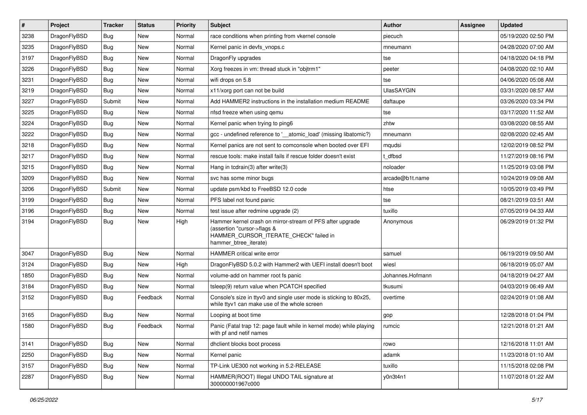| $\sharp$ | Project      | <b>Tracker</b> | <b>Status</b> | <b>Priority</b> | Subject                                                                                                                                                     | <b>Author</b>     | Assignee | <b>Updated</b>      |
|----------|--------------|----------------|---------------|-----------------|-------------------------------------------------------------------------------------------------------------------------------------------------------------|-------------------|----------|---------------------|
| 3238     | DragonFlyBSD | Bug            | <b>New</b>    | Normal          | race conditions when printing from vkernel console                                                                                                          | piecuch           |          | 05/19/2020 02:50 PM |
| 3235     | DragonFlyBSD | Bug            | <b>New</b>    | Normal          | Kernel panic in devfs vnops.c                                                                                                                               | mneumann          |          | 04/28/2020 07:00 AM |
| 3197     | DragonFlyBSD | <b>Bug</b>     | <b>New</b>    | Normal          | DragonFly upgrades                                                                                                                                          | tse               |          | 04/18/2020 04:18 PM |
| 3226     | DragonFlyBSD | <b>Bug</b>     | New           | Normal          | Xorg freezes in vm: thread stuck in "objtrm1"                                                                                                               | peeter            |          | 04/08/2020 02:10 AM |
| 3231     | DragonFlyBSD | Bug            | <b>New</b>    | Normal          | wifi drops on 5.8                                                                                                                                           | tse               |          | 04/06/2020 05:08 AM |
| 3219     | DragonFlyBSD | Bug            | <b>New</b>    | Normal          | x11/xorg port can not be build                                                                                                                              | <b>UlasSAYGIN</b> |          | 03/31/2020 08:57 AM |
| 3227     | DragonFlyBSD | Submit         | New           | Normal          | Add HAMMER2 instructions in the installation medium README                                                                                                  | daftaupe          |          | 03/26/2020 03:34 PM |
| 3225     | DragonFlyBSD | Bug            | <b>New</b>    | Normal          | nfsd freeze when using gemu                                                                                                                                 | tse               |          | 03/17/2020 11:52 AM |
| 3224     | DragonFlyBSD | <b>Bug</b>     | <b>New</b>    | Normal          | Kernel panic when trying to ping6                                                                                                                           | zhtw              |          | 03/08/2020 08:55 AM |
| 3222     | DragonFlyBSD | Bug            | <b>New</b>    | Normal          | gcc - undefined reference to '__atomic_load' (missing libatomic?)                                                                                           | mneumann          |          | 02/08/2020 02:45 AM |
| 3218     | DragonFlyBSD | <b>Bug</b>     | New           | Normal          | Kernel panics are not sent to comconsole when booted over EFI                                                                                               | mqudsi            |          | 12/02/2019 08:52 PM |
| 3217     | DragonFlyBSD | Bug            | <b>New</b>    | Normal          | rescue tools: make install fails if rescue folder doesn't exist                                                                                             | t dfbsd           |          | 11/27/2019 08:16 PM |
| 3215     | DragonFlyBSD | <b>Bug</b>     | <b>New</b>    | Normal          | Hang in todrain(3) after write(3)                                                                                                                           | noloader          |          | 11/25/2019 03:08 PM |
| 3209     | DragonFlyBSD | <b>Bug</b>     | New           | Normal          | svc has some minor bugs                                                                                                                                     | arcade@b1t.name   |          | 10/24/2019 09:08 AM |
| 3206     | DragonFlyBSD | Submit         | <b>New</b>    | Normal          | update psm/kbd to FreeBSD 12.0 code                                                                                                                         | htse              |          | 10/05/2019 03:49 PM |
| 3199     | DragonFlyBSD | <b>Bug</b>     | New           | Normal          | PFS label not found panic                                                                                                                                   | tse               |          | 08/21/2019 03:51 AM |
| 3196     | DragonFlyBSD | Bug            | New           | Normal          | test issue after redmine upgrade (2)                                                                                                                        | tuxillo           |          | 07/05/2019 04:33 AM |
| 3194     | DragonFlyBSD | Bug            | <b>New</b>    | High            | Hammer kernel crash on mirror-stream of PFS after upgrade<br>(assertion "cursor->flags &<br>HAMMER_CURSOR_ITERATE_CHECK" failed in<br>hammer_btree_iterate) | Anonymous         |          | 06/29/2019 01:32 PM |
| 3047     | DragonFlyBSD | Bug            | <b>New</b>    | Normal          | <b>HAMMER</b> critical write error                                                                                                                          | samuel            |          | 06/19/2019 09:50 AM |
| 3124     | DragonFlyBSD | Bug            | <b>New</b>    | High            | DragonFlyBSD 5.0.2 with Hammer2 with UEFI install doesn't boot                                                                                              | wiesl             |          | 06/18/2019 05:07 AM |
| 1850     | DragonFlyBSD | <b>Bug</b>     | New           | Normal          | volume-add on hammer root fs panic                                                                                                                          | Johannes.Hofmann  |          | 04/18/2019 04:27 AM |
| 3184     | DragonFlyBSD | <b>Bug</b>     | New           | Normal          | tsleep(9) return value when PCATCH specified                                                                                                                | tkusumi           |          | 04/03/2019 06:49 AM |
| 3152     | DragonFlyBSD | Bug            | Feedback      | Normal          | Console's size in ttyv0 and single user mode is sticking to 80x25,<br>while ttyv1 can make use of the whole screen                                          | overtime          |          | 02/24/2019 01:08 AM |
| 3165     | DragonFlyBSD | Bug            | <b>New</b>    | Normal          | Looping at boot time                                                                                                                                        | gop               |          | 12/28/2018 01:04 PM |
| 1580     | DragonFlyBSD | Bug            | Feedback      | Normal          | Panic (Fatal trap 12: page fault while in kernel mode) while playing<br>with pt and netif names                                                             | rumcic            |          | 12/21/2018 01:21 AM |
| 3141     | DragonFlyBSD | <b>Bug</b>     | New           | Normal          | dhclient blocks boot process                                                                                                                                | rowo              |          | 12/16/2018 11:01 AM |
| 2250     | DragonFlyBSD | <b>Bug</b>     | New           | Normal          | Kernel panic                                                                                                                                                | adamk             |          | 11/23/2018 01:10 AM |
| 3157     | DragonFlyBSD | <b>Bug</b>     | New           | Normal          | TP-Link UE300 not working in 5.2-RELEASE                                                                                                                    | tuxillo           |          | 11/15/2018 02:08 PM |
| 2287     | DragonFlyBSD | <b>Bug</b>     | New           | Normal          | HAMMER(ROOT) Illegal UNDO TAIL signature at<br>300000001967c000                                                                                             | y0n3t4n1          |          | 11/07/2018 01:22 AM |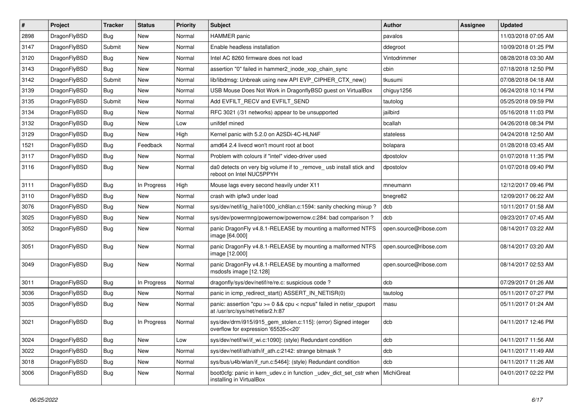| $\sharp$ | Project      | <b>Tracker</b> | <b>Status</b> | <b>Priority</b> | Subject                                                                                                   | <b>Author</b>          | Assignee | <b>Updated</b>      |
|----------|--------------|----------------|---------------|-----------------|-----------------------------------------------------------------------------------------------------------|------------------------|----------|---------------------|
| 2898     | DragonFlyBSD | Bug            | New           | Normal          | <b>HAMMER</b> panic                                                                                       | pavalos                |          | 11/03/2018 07:05 AM |
| 3147     | DragonFlyBSD | Submit         | <b>New</b>    | Normal          | Enable headless installation                                                                              | ddegroot               |          | 10/09/2018 01:25 PM |
| 3120     | DragonFlyBSD | Bug            | <b>New</b>    | Normal          | Intel AC 8260 firmware does not load                                                                      | Vintodrimmer           |          | 08/28/2018 03:30 AM |
| 3143     | DragonFlyBSD | Bug            | <b>New</b>    | Normal          | assertion "0" failed in hammer2 inode xop chain sync                                                      | cbin                   |          | 07/18/2018 12:50 PM |
| 3142     | DragonFlyBSD | Submit         | New           | Normal          | lib/libdmsg: Unbreak using new API EVP_CIPHER_CTX_new()                                                   | tkusumi                |          | 07/08/2018 04:18 AM |
| 3139     | DragonFlyBSD | Bug            | <b>New</b>    | Normal          | USB Mouse Does Not Work in DragonflyBSD guest on VirtualBox                                               | chiguy1256             |          | 06/24/2018 10:14 PM |
| 3135     | DragonFlyBSD | Submit         | New           | Normal          | Add EVFILT_RECV and EVFILT_SEND                                                                           | tautolog               |          | 05/25/2018 09:59 PM |
| 3134     | DragonFlyBSD | Bug            | <b>New</b>    | Normal          | RFC 3021 (/31 networks) appear to be unsupported                                                          | jailbird               |          | 05/16/2018 11:03 PM |
| 3132     | DragonFlyBSD | <b>Bug</b>     | <b>New</b>    | Low             | unifdef mined                                                                                             | bcallah                |          | 04/26/2018 08:34 PM |
| 3129     | DragonFlyBSD | Bug            | <b>New</b>    | High            | Kernel panic with 5.2.0 on A2SDi-4C-HLN4F                                                                 | stateless              |          | 04/24/2018 12:50 AM |
| 1521     | DragonFlyBSD | <b>Bug</b>     | Feedback      | Normal          | amd64 2.4 livecd won't mount root at boot                                                                 | bolapara               |          | 01/28/2018 03:45 AM |
| 3117     | DragonFlyBSD | <b>Bug</b>     | <b>New</b>    | Normal          | Problem with colours if "intel" video-driver used                                                         | dpostolov              |          | 01/07/2018 11:35 PM |
| 3116     | DragonFlyBSD | Bug            | New           | Normal          | da0 detects on very big volume if to _remove_ usb install stick and<br>reboot on Intel NUC5PPYH           | dpostolov              |          | 01/07/2018 09:40 PM |
| 3111     | DragonFlyBSD | Bug            | In Progress   | High            | Mouse lags every second heavily under X11                                                                 | mneumann               |          | 12/12/2017 09:46 PM |
| 3110     | DragonFlyBSD | Bug            | <b>New</b>    | Normal          | crash with ipfw3 under load                                                                               | bnegre82               |          | 12/09/2017 06:22 AM |
| 3076     | DragonFlyBSD | <b>Bug</b>     | <b>New</b>    | Normal          | sys/dev/netif/ig hal/e1000 ich8lan.c:1594: sanity checking mixup?                                         | dcb                    |          | 10/11/2017 01:58 AM |
| 3025     | DragonFlyBSD | Bug            | New           | Normal          | sys/dev/powermng/powernow/powernow.c:284: bad comparison?                                                 | dcb                    |          | 09/23/2017 07:45 AM |
| 3052     | DragonFlyBSD | <b>Bug</b>     | <b>New</b>    | Normal          | panic DragonFly v4.8.1-RELEASE by mounting a malformed NTFS<br>image [64.000]                             | open.source@ribose.com |          | 08/14/2017 03:22 AM |
| 3051     | DragonFlyBSD | Bug            | <b>New</b>    | Normal          | panic DragonFly v4.8.1-RELEASE by mounting a malformed NTFS<br>image [12.000]                             | open.source@ribose.com |          | 08/14/2017 03:20 AM |
| 3049     | DragonFlyBSD | Bug            | <b>New</b>    | Normal          | panic DragonFly v4.8.1-RELEASE by mounting a malformed<br>msdosfs image [12.128]                          | open.source@ribose.com |          | 08/14/2017 02:53 AM |
| 3011     | DragonFlyBSD | Bug            | In Progress   | Normal          | dragonfly/sys/dev/netif/re/re.c: suspicious code?                                                         | dcb                    |          | 07/29/2017 01:26 AM |
| 3036     | DragonFlyBSD | Bug            | <b>New</b>    | Normal          | panic in icmp redirect start() ASSERT IN NETISR(0)                                                        | tautolog               |          | 05/11/2017 07:27 PM |
| 3035     | DragonFlyBSD | Bug            | New           | Normal          | panic: assertion "cpu $>= 0$ && cpu < ncpus" failed in netisr cpuport<br>at /usr/src/sys/net/netisr2.h:87 | masu                   |          | 05/11/2017 01:24 AM |
| 3021     | DragonFlyBSD | <b>Bug</b>     | In Progress   | Normal          | sys/dev/drm/i915/i915_gem_stolen.c:115]: (error) Signed integer<br>overflow for expression '65535<<20'    | dcb                    |          | 04/11/2017 12:46 PM |
| 3024     | DragonFlyBSD | <b>Bug</b>     | <b>New</b>    | Low             | sys/dev/netif/wi/if_wi.c:1090]: (style) Redundant condition                                               | dcb                    |          | 04/11/2017 11:56 AM |
| 3022     | DragonFlyBSD | Bug            | New           | Normal          | sys/dev/netif/ath/ath/if_ath.c:2142: strange bitmask?                                                     | dcb                    |          | 04/11/2017 11:49 AM |
| 3018     | DragonFlyBSD | <b>Bug</b>     | New           | Normal          | sys/bus/u4b/wlan/if_run.c:5464]: (style) Redundant condition                                              | dcb                    |          | 04/11/2017 11:26 AM |
| 3006     | DragonFlyBSD | <b>Bug</b>     | New           | Normal          | boot0cfg: panic in kern udev.c in function udev dict set cstr when<br>installing in VirtualBox            | MichiGreat             |          | 04/01/2017 02:22 PM |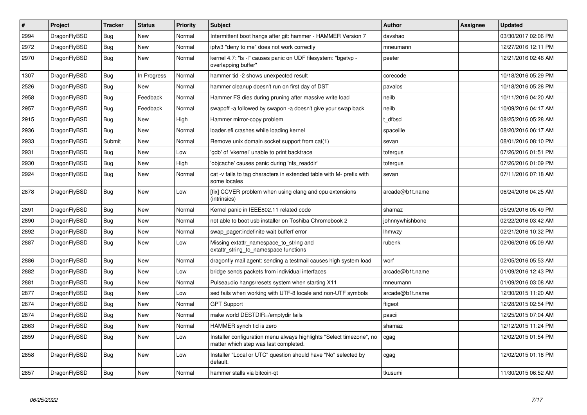| $\pmb{\#}$ | Project      | <b>Tracker</b> | <b>Status</b> | <b>Priority</b> | <b>Subject</b>                                                                                                | <b>Author</b>   | Assignee | <b>Updated</b>      |
|------------|--------------|----------------|---------------|-----------------|---------------------------------------------------------------------------------------------------------------|-----------------|----------|---------------------|
| 2994       | DragonFlyBSD | <b>Bug</b>     | <b>New</b>    | Normal          | Intermittent boot hangs after git: hammer - HAMMER Version 7                                                  | davshao         |          | 03/30/2017 02:06 PM |
| 2972       | DragonFlyBSD | Bug            | <b>New</b>    | Normal          | ipfw3 "deny to me" does not work correctly                                                                    | mneumann        |          | 12/27/2016 12:11 PM |
| 2970       | DragonFlyBSD | Bug            | New           | Normal          | kernel 4.7: "Is -I" causes panic on UDF filesystem: "bgetyp -<br>overlapping buffer"                          | peeter          |          | 12/21/2016 02:46 AM |
| 1307       | DragonFlyBSD | Bug            | In Progress   | Normal          | hammer tid -2 shows unexpected result                                                                         | corecode        |          | 10/18/2016 05:29 PM |
| 2526       | DragonFlyBSD | <b>Bug</b>     | <b>New</b>    | Normal          | hammer cleanup doesn't run on first day of DST                                                                | pavalos         |          | 10/18/2016 05:28 PM |
| 2958       | DragonFlyBSD | Bug            | Feedback      | Normal          | Hammer FS dies during pruning after massive write load                                                        | neilb           |          | 10/11/2016 04:20 AM |
| 2957       | DragonFlyBSD | Bug            | Feedback      | Normal          | swapoff -a followed by swapon -a doesn't give your swap back                                                  | neilb           |          | 10/09/2016 04:17 AM |
| 2915       | DragonFlyBSD | Bug            | <b>New</b>    | High            | Hammer mirror-copy problem                                                                                    | t dfbsd         |          | 08/25/2016 05:28 AM |
| 2936       | DragonFlyBSD | Bug            | <b>New</b>    | Normal          | loader.efi crashes while loading kernel                                                                       | spaceille       |          | 08/20/2016 06:17 AM |
| 2933       | DragonFlyBSD | Submit         | <b>New</b>    | Normal          | Remove unix domain socket support from cat(1)                                                                 | sevan           |          | 08/01/2016 08:10 PM |
| 2931       | DragonFlyBSD | Bug            | <b>New</b>    | Low             | 'gdb' of 'vkernel' unable to print backtrace                                                                  | tofergus        |          | 07/26/2016 01:51 PM |
| 2930       | DragonFlyBSD | Bug            | New           | High            | 'objcache' causes panic during 'nfs_readdir'                                                                  | tofergus        |          | 07/26/2016 01:09 PM |
| 2924       | DragonFlyBSD | Bug            | New           | Normal          | cat -v fails to tag characters in extended table with M- prefix with<br>some locales                          | sevan           |          | 07/11/2016 07:18 AM |
| 2878       | DragonFlyBSD | Bug            | <b>New</b>    | Low             | [fix] CCVER problem when using clang and cpu extensions<br>(intrinsics)                                       | arcade@b1t.name |          | 06/24/2016 04:25 AM |
| 2891       | DragonFlyBSD | Bug            | <b>New</b>    | Normal          | Kernel panic in IEEE802.11 related code                                                                       | shamaz          |          | 05/29/2016 05:49 PM |
| 2890       | DragonFlyBSD | Bug            | New           | Normal          | not able to boot usb installer on Toshiba Chromebook 2                                                        | johnnywhishbone |          | 02/22/2016 03:42 AM |
| 2892       | DragonFlyBSD | Bug            | New           | Normal          | swap pager: indefinite wait bufferf error                                                                     | lhmwzy          |          | 02/21/2016 10:32 PM |
| 2887       | DragonFlyBSD | Bug            | <b>New</b>    | Low             | Missing extattr_namespace_to_string and<br>extattr_string_to_namespace functions                              | rubenk          |          | 02/06/2016 05:09 AM |
| 2886       | DragonFlyBSD | Bug            | <b>New</b>    | Normal          | dragonfly mail agent: sending a testmail causes high system load                                              | worf            |          | 02/05/2016 05:53 AM |
| 2882       | DragonFlyBSD | Bug            | <b>New</b>    | Low             | bridge sends packets from individual interfaces                                                               | arcade@b1t.name |          | 01/09/2016 12:43 PM |
| 2881       | DragonFlyBSD | Bug            | <b>New</b>    | Normal          | Pulseaudio hangs/resets system when starting X11                                                              | mneumann        |          | 01/09/2016 03:08 AM |
| 2877       | DragonFlyBSD | Bug            | New           | Low             | sed fails when working with UTF-8 locale and non-UTF symbols                                                  | arcade@b1t.name |          | 12/30/2015 11:20 AM |
| 2674       | DragonFlyBSD | Bug            | <b>New</b>    | Normal          | <b>GPT Support</b>                                                                                            | ftigeot         |          | 12/28/2015 02:54 PM |
| 2874       | DragonFlyBSD | <b>Bug</b>     | <b>New</b>    | Normal          | make world DESTDIR=/emptydir fails                                                                            | pascii          |          | 12/25/2015 07:04 AM |
| 2863       | DragonFlyBSD | Bug            | <b>New</b>    | Normal          | HAMMER synch tid is zero                                                                                      | shamaz          |          | 12/12/2015 11:24 PM |
| 2859       | DragonFlyBSD | <b>Bug</b>     | <b>New</b>    | Low             | Installer configuration menu always highlights "Select timezone", no<br>matter which step was last completed. | cgag            |          | 12/02/2015 01:54 PM |
| 2858       | DragonFlyBSD | Bug            | <b>New</b>    | Low             | Installer "Local or UTC" question should have "No" selected by<br>default.                                    | cgag            |          | 12/02/2015 01:18 PM |
| 2857       | DragonFlyBSD | Bug            | New           | Normal          | hammer stalls via bitcoin-qt                                                                                  | tkusumi         |          | 11/30/2015 06:52 AM |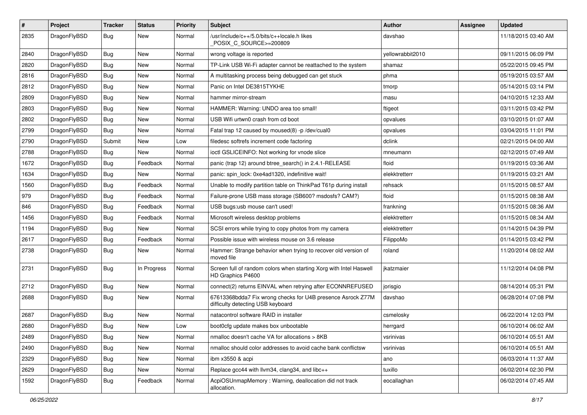| #    | Project      | <b>Tracker</b> | <b>Status</b> | <b>Priority</b> | Subject                                                                                          | <b>Author</b>    | Assignee | <b>Updated</b>      |
|------|--------------|----------------|---------------|-----------------|--------------------------------------------------------------------------------------------------|------------------|----------|---------------------|
| 2835 | DragonFlyBSD | Bug            | New           | Normal          | /usr/include/c++/5.0/bits/c++locale.h likes<br>POSIX C SOURCE>=200809                            | davshao          |          | 11/18/2015 03:40 AM |
| 2840 | DragonFlyBSD | Bug            | <b>New</b>    | Normal          | wrong voltage is reported                                                                        | yellowrabbit2010 |          | 09/11/2015 06:09 PM |
| 2820 | DragonFlyBSD | Bug            | <b>New</b>    | Normal          | TP-Link USB Wi-Fi adapter cannot be reattached to the system                                     | shamaz           |          | 05/22/2015 09:45 PM |
| 2816 | DragonFlyBSD | Bug            | <b>New</b>    | Normal          | A multitasking process being debugged can get stuck                                              | phma             |          | 05/19/2015 03:57 AM |
| 2812 | DragonFlyBSD | Bug            | <b>New</b>    | Normal          | Panic on Intel DE3815TYKHE                                                                       | tmorp            |          | 05/14/2015 03:14 PM |
| 2809 | DragonFlyBSD | Bug            | <b>New</b>    | Normal          | hammer mirror-stream                                                                             | masu             |          | 04/10/2015 12:33 AM |
| 2803 | DragonFlyBSD | Bug            | <b>New</b>    | Normal          | HAMMER: Warning: UNDO area too small!                                                            | ftigeot          |          | 03/11/2015 03:42 PM |
| 2802 | DragonFlyBSD | Bug            | <b>New</b>    | Normal          | USB Wifi urtwn0 crash from cd boot                                                               | opvalues         |          | 03/10/2015 01:07 AM |
| 2799 | DragonFlyBSD | Bug            | <b>New</b>    | Normal          | Fatal trap 12 caused by moused(8) -p /dev/cual0                                                  | opvalues         |          | 03/04/2015 11:01 PM |
| 2790 | DragonFlyBSD | Submit         | New           | Low             | filedesc softrefs increment code factoring                                                       | dclink           |          | 02/21/2015 04:00 AM |
| 2788 | DragonFlyBSD | Bug            | <b>New</b>    | Normal          | ioctl GSLICEINFO: Not working for vnode slice                                                    | mneumann         |          | 02/12/2015 07:49 AM |
| 1672 | DragonFlyBSD | Bug            | Feedback      | Normal          | panic (trap 12) around btree_search() in 2.4.1-RELEASE                                           | floid            |          | 01/19/2015 03:36 AM |
| 1634 | DragonFlyBSD | Bug            | <b>New</b>    | Normal          | panic: spin_lock: 0xe4ad1320, indefinitive wait!                                                 | elekktretterr    |          | 01/19/2015 03:21 AM |
| 1560 | DragonFlyBSD | Bug            | Feedback      | Normal          | Unable to modify partition table on ThinkPad T61p during install                                 | rehsack          |          | 01/15/2015 08:57 AM |
| 979  | DragonFlyBSD | Bug            | Feedback      | Normal          | Failure-prone USB mass storage (SB600? msdosfs? CAM?)                                            | floid            |          | 01/15/2015 08:38 AM |
| 846  | DragonFlyBSD | Bug            | Feedback      | Normal          | USB bugs:usb mouse can't used!                                                                   | frankning        |          | 01/15/2015 08:36 AM |
| 1456 | DragonFlyBSD | Bug            | Feedback      | Normal          | Microsoft wireless desktop problems                                                              | elekktretterr    |          | 01/15/2015 08:34 AM |
| 1194 | DragonFlyBSD | Bug            | New           | Normal          | SCSI errors while trying to copy photos from my camera                                           | elekktretterr    |          | 01/14/2015 04:39 PM |
| 2617 | DragonFlyBSD | Bug            | Feedback      | Normal          | Possible issue with wireless mouse on 3.6 release                                                | FilippoMo        |          | 01/14/2015 03:42 PM |
| 2738 | DragonFlyBSD | Bug            | New           | Normal          | Hammer: Strange behavior when trying to recover old version of<br>moved file                     | roland           |          | 11/20/2014 08:02 AM |
| 2731 | DragonFlyBSD | Bug            | In Progress   | Normal          | Screen full of random colors when starting Xorg with Intel Haswell<br>HD Graphics P4600          | jkatzmaier       |          | 11/12/2014 04:08 PM |
| 2712 | DragonFlyBSD | Bug            | <b>New</b>    | Normal          | connect(2) returns EINVAL when retrying after ECONNREFUSED                                       | jorisgio         |          | 08/14/2014 05:31 PM |
| 2688 | DragonFlyBSD | Bug            | <b>New</b>    | Normal          | 67613368bdda7 Fix wrong checks for U4B presence Asrock Z77M<br>difficulty detecting USB keyboard | davshao          |          | 06/28/2014 07:08 PM |
| 2687 | DragonFlyBSD | Bug            | <b>New</b>    | Normal          | natacontrol software RAID in installer                                                           | csmelosky        |          | 06/22/2014 12:03 PM |
| 2680 | DragonFlyBSD | Bug            | New           | Low             | boot0cfg update makes box unbootable                                                             | herrgard         |          | 06/10/2014 06:02 AM |
| 2489 | DragonFlyBSD | <b>Bug</b>     | New           | Normal          | nmalloc doesn't cache VA for allocations > 8KB                                                   | vsrinivas        |          | 06/10/2014 05:51 AM |
| 2490 | DragonFlyBSD | <b>Bug</b>     | <b>New</b>    | Normal          | nmalloc should color addresses to avoid cache bank conflictsw                                    | vsrinivas        |          | 06/10/2014 05:51 AM |
| 2329 | DragonFlyBSD | <b>Bug</b>     | New           | Normal          | ibm x3550 & acpi                                                                                 | ano              |          | 06/03/2014 11:37 AM |
| 2629 | DragonFlyBSD | <b>Bug</b>     | New           | Normal          | Replace gcc44 with llvm34, clang34, and libc++                                                   | tuxillo          |          | 06/02/2014 02:30 PM |
| 1592 | DragonFlyBSD | <b>Bug</b>     | Feedback      | Normal          | AcpiOSUnmapMemory: Warning, deallocation did not track<br>allocation.                            | eocallaghan      |          | 06/02/2014 07:45 AM |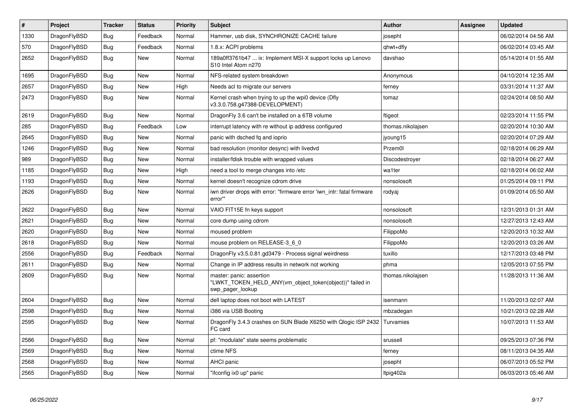| $\vert$ # | Project      | <b>Tracker</b> | <b>Status</b> | <b>Priority</b> | <b>Subject</b>                                                                                             | <b>Author</b>     | Assignee | <b>Updated</b>      |
|-----------|--------------|----------------|---------------|-----------------|------------------------------------------------------------------------------------------------------------|-------------------|----------|---------------------|
| 1330      | DragonFlyBSD | <b>Bug</b>     | Feedback      | Normal          | Hammer, usb disk, SYNCHRONIZE CACHE failure                                                                | josepht           |          | 06/02/2014 04:56 AM |
| 570       | DragonFlyBSD | Bug            | Feedback      | Normal          | 1.8.x: ACPI problems                                                                                       | qhwt+dfly         |          | 06/02/2014 03:45 AM |
| 2652      | DragonFlyBSD | <b>Bug</b>     | <b>New</b>    | Normal          | 189a0ff3761b47  ix: Implement MSI-X support locks up Lenovo<br>S <sub>10</sub> Intel Atom n <sub>270</sub> | davshao           |          | 05/14/2014 01:55 AM |
| 1695      | DragonFlyBSD | <b>Bug</b>     | <b>New</b>    | Normal          | NFS-related system breakdown                                                                               | Anonymous         |          | 04/10/2014 12:35 AM |
| 2657      | DragonFlyBSD | Bug            | <b>New</b>    | High            | Needs acl to migrate our servers                                                                           | ferney            |          | 03/31/2014 11:37 AM |
| 2473      | DragonFlyBSD | <b>Bug</b>     | <b>New</b>    | Normal          | Kernel crash when trying to up the wpi0 device (Dfly<br>v3.3.0.758.g47388-DEVELOPMENT)                     | tomaz             |          | 02/24/2014 08:50 AM |
| 2619      | DragonFlyBSD | Bug            | <b>New</b>    | Normal          | DragonFly 3.6 can't be installed on a 6TB volume                                                           | ftigeot           |          | 02/23/2014 11:55 PM |
| 285       | DragonFlyBSD | <b>Bug</b>     | Feedback      | Low             | interrupt latency with re without ip address configured                                                    | thomas.nikolajsen |          | 02/20/2014 10:30 AM |
| 2645      | DragonFlyBSD | Bug            | <b>New</b>    | Normal          | panic with dsched fq and ioprio                                                                            | jyoung15          |          | 02/20/2014 07:29 AM |
| 1246      | DragonFlyBSD | <b>Bug</b>     | <b>New</b>    | Normal          | bad resolution (monitor desync) with livedvd                                                               | Przem0l           |          | 02/18/2014 06:29 AM |
| 989       | DragonFlyBSD | Bug            | <b>New</b>    | Normal          | installer/fdisk trouble with wrapped values                                                                | Discodestroyer    |          | 02/18/2014 06:27 AM |
| 1185      | DragonFlyBSD | <b>Bug</b>     | <b>New</b>    | High            | need a tool to merge changes into /etc                                                                     | wa1ter            |          | 02/18/2014 06:02 AM |
| 1193      | DragonFlyBSD | Bug            | New           | Normal          | kernel doesn't recognize cdrom drive                                                                       | nonsolosoft       |          | 01/25/2014 09:11 PM |
| 2626      | DragonFlyBSD | <b>Bug</b>     | New           | Normal          | iwn driver drops with error: "firmware error 'iwn intr: fatal firmware<br>error""                          | rodyaj            |          | 01/09/2014 05:50 AM |
| 2622      | DragonFlyBSD | Bug            | <b>New</b>    | Normal          | VAIO FIT15E fn keys support                                                                                | nonsolosoft       |          | 12/31/2013 01:31 AM |
| 2621      | DragonFlyBSD | Bug            | <b>New</b>    | Normal          | core dump using cdrom                                                                                      | nonsolosoft       |          | 12/27/2013 12:43 AM |
| 2620      | DragonFlyBSD | <b>Bug</b>     | <b>New</b>    | Normal          | moused problem                                                                                             | FilippoMo         |          | 12/20/2013 10:32 AM |
| 2618      | DragonFlyBSD | Bug            | New           | Normal          | mouse problem on RELEASE-3 6 0                                                                             | FilippoMo         |          | 12/20/2013 03:26 AM |
| 2556      | DragonFlyBSD | <b>Bug</b>     | Feedback      | Normal          | DragonFly v3.5.0.81.gd3479 - Process signal weirdness                                                      | tuxillo           |          | 12/17/2013 03:48 PM |
| 2611      | DragonFlyBSD | Bug            | <b>New</b>    | Normal          | Change in IP address results in network not working                                                        | phma              |          | 12/05/2013 07:55 PM |
| 2609      | DragonFlyBSD | <b>Bug</b>     | <b>New</b>    | Normal          | master: panic: assertion<br>"LWKT TOKEN HELD ANY(vm object token(object))" failed in<br>swp_pager_lookup   | thomas.nikolajsen |          | 11/28/2013 11:36 AM |
| 2604      | DragonFlyBSD | Bug            | <b>New</b>    | Normal          | dell laptop does not boot with LATEST                                                                      | isenmann          |          | 11/20/2013 02:07 AM |
| 2598      | DragonFlyBSD | <b>Bug</b>     | New           | Normal          | i386 via USB Booting                                                                                       | mbzadegan         |          | 10/21/2013 02:28 AM |
| 2595      | DragonFlyBSD | Bug            | New           | Normal          | DragonFly 3.4.3 crashes on SUN Blade X6250 with Qlogic ISP 2432<br>FC card                                 | <b>Turvamies</b>  |          | 10/07/2013 11:53 AM |
| 2586      | DragonFlyBSD | Bug            | <b>New</b>    | Normal          | pf: "modulate" state seems problematic                                                                     | srussell          |          | 09/25/2013 07:36 PM |
| 2569      | DragonFlyBSD | <b>Bug</b>     | New           | Normal          | ctime NFS                                                                                                  | ferney            |          | 08/11/2013 04:35 AM |
| 2568      | DragonFlyBSD | <b>Bug</b>     | New           | Normal          | AHCI panic                                                                                                 | josepht           |          | 06/07/2013 05:52 PM |
| 2565      | DragonFlyBSD | <b>Bug</b>     | New           | Normal          | "ifconfig ix0 up" panic                                                                                    | Itpig402a         |          | 06/03/2013 05:46 AM |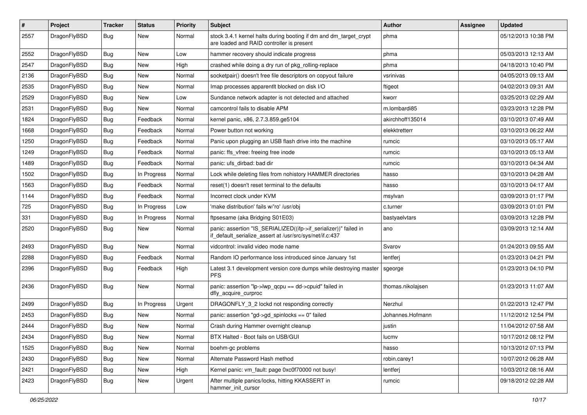| $\sharp$ | Project      | <b>Tracker</b> | <b>Status</b> | <b>Priority</b> | Subject                                                                                                                      | <b>Author</b>     | Assignee | <b>Updated</b>      |
|----------|--------------|----------------|---------------|-----------------|------------------------------------------------------------------------------------------------------------------------------|-------------------|----------|---------------------|
| 2557     | DragonFlyBSD | Bug            | New           | Normal          | stock 3.4.1 kernel halts during booting if dm and dm_target_crypt<br>are loaded and RAID controller is present               | phma              |          | 05/12/2013 10:38 PM |
| 2552     | DragonFlyBSD | Bug            | <b>New</b>    | Low             | hammer recovery should indicate progress                                                                                     | phma              |          | 05/03/2013 12:13 AM |
| 2547     | DragonFlyBSD | Bug            | New           | High            | crashed while doing a dry run of pkg rolling-replace                                                                         | phma              |          | 04/18/2013 10:40 PM |
| 2136     | DragonFlyBSD | Bug            | New           | Normal          | socketpair() doesn't free file descriptors on copyout failure                                                                | vsrinivas         |          | 04/05/2013 09:13 AM |
| 2535     | DragonFlyBSD | Bug            | New           | Normal          | Imap processes apparentlt blocked on disk I/O                                                                                | ftigeot           |          | 04/02/2013 09:31 AM |
| 2529     | DragonFlyBSD | <b>Bug</b>     | New           | Low             | Sundance network adapter is not detected and attached                                                                        | kworr             |          | 03/25/2013 02:29 AM |
| 2531     | DragonFlyBSD | <b>Bug</b>     | New           | Normal          | camcontrol fails to disable APM                                                                                              | m.lombardi85      |          | 03/23/2013 12:28 PM |
| 1824     | DragonFlyBSD | <b>Bug</b>     | Feedback      | Normal          | kernel panic, x86, 2.7.3.859.ge5104                                                                                          | akirchhoff135014  |          | 03/10/2013 07:49 AM |
| 1668     | DragonFlyBSD | <b>Bug</b>     | Feedback      | Normal          | Power button not working                                                                                                     | elekktretterr     |          | 03/10/2013 06:22 AM |
| 1250     | DragonFlyBSD | <b>Bug</b>     | Feedback      | Normal          | Panic upon plugging an USB flash drive into the machine                                                                      | rumcic            |          | 03/10/2013 05:17 AM |
| 1249     | DragonFlyBSD | <b>Bug</b>     | Feedback      | Normal          | panic: ffs vfree: freeing free inode                                                                                         | rumcic            |          | 03/10/2013 05:13 AM |
| 1489     | DragonFlyBSD | <b>Bug</b>     | Feedback      | Normal          | panic: ufs dirbad: bad dir                                                                                                   | rumcic            |          | 03/10/2013 04:34 AM |
| 1502     | DragonFlyBSD | <b>Bug</b>     | In Progress   | Normal          | Lock while deleting files from nohistory HAMMER directories                                                                  | hasso             |          | 03/10/2013 04:28 AM |
| 1563     | DragonFlyBSD | <b>Bug</b>     | Feedback      | Normal          | reset(1) doesn't reset terminal to the defaults                                                                              | hasso             |          | 03/10/2013 04:17 AM |
| 1144     | DragonFlyBSD | <b>Bug</b>     | Feedback      | Normal          | Incorrect clock under KVM                                                                                                    | msylvan           |          | 03/09/2013 01:17 PM |
| 725      | DragonFlyBSD | <b>Bug</b>     | In Progress   | Low             | 'make distribution' fails w/'ro' /usr/obj                                                                                    | c.turner          |          | 03/09/2013 01:01 PM |
| 331      | DragonFlyBSD | <b>Bug</b>     | In Progress   | Normal          | ftpsesame (aka Bridging S01E03)                                                                                              | bastyaelvtars     |          | 03/09/2013 12:28 PM |
| 2520     | DragonFlyBSD | <b>Bug</b>     | <b>New</b>    | Normal          | panic: assertion "IS_SERIALIZED((ifp->if_serializer))" failed in<br>if_default_serialize_assert at /usr/src/sys/net/if.c:437 | ano               |          | 03/09/2013 12:14 AM |
| 2493     | DragonFlyBSD | <b>Bug</b>     | New           | Normal          | vidcontrol: invalid video mode name                                                                                          | Svarov            |          | 01/24/2013 09:55 AM |
| 2288     | DragonFlyBSD | <b>Bug</b>     | Feedback      | Normal          | Random IO performance loss introduced since January 1st                                                                      | lentferj          |          | 01/23/2013 04:21 PM |
| 2396     | DragonFlyBSD | Bug            | Feedback      | High            | Latest 3.1 development version core dumps while destroying master<br><b>PFS</b>                                              | sgeorge           |          | 01/23/2013 04:10 PM |
| 2436     | DragonFlyBSD | Bug            | New           | Normal          | panic: assertion "lp->lwp_qcpu == dd->cpuid" failed in<br>dfly_acquire_curproc                                               | thomas.nikolajsen |          | 01/23/2013 11:07 AM |
| 2499     | DragonFlyBSD | Bug            | In Progress   | Urgent          | DRAGONFLY 3 2 lockd not responding correctly                                                                                 | Nerzhul           |          | 01/22/2013 12:47 PM |
| 2453     | DragonFlyBSD | <b>Bug</b>     | <b>New</b>    | Normal          | panic: assertion "gd->gd_spinlocks == 0" failed                                                                              | Johannes.Hofmann  |          | 11/12/2012 12:54 PM |
| 2444     | DragonFlyBSD | Bug            | New           | Normal          | Crash during Hammer overnight cleanup                                                                                        | justin            |          | 11/04/2012 07:58 AM |
| 2434     | DragonFlyBSD | <b>Bug</b>     | New           | Normal          | BTX Halted - Boot fails on USB/GUI                                                                                           | lucmv             |          | 10/17/2012 08:12 PM |
| 1525     | DragonFlyBSD | <b>Bug</b>     | New           | Normal          | boehm-gc problems                                                                                                            | hasso             |          | 10/13/2012 07:13 PM |
| 2430     | DragonFlyBSD | <b>Bug</b>     | New           | Normal          | Alternate Password Hash method                                                                                               | robin.carey1      |          | 10/07/2012 06:28 AM |
| 2421     | DragonFlyBSD | <b>Bug</b>     | New           | High            | Kernel panic: vm_fault: page 0xc0f70000 not busy!                                                                            | lentferj          |          | 10/03/2012 08:16 AM |
| 2423     | DragonFlyBSD | <b>Bug</b>     | New           | Urgent          | After multiple panics/locks, hitting KKASSERT in<br>hammer_init_cursor                                                       | rumcic            |          | 09/18/2012 02:28 AM |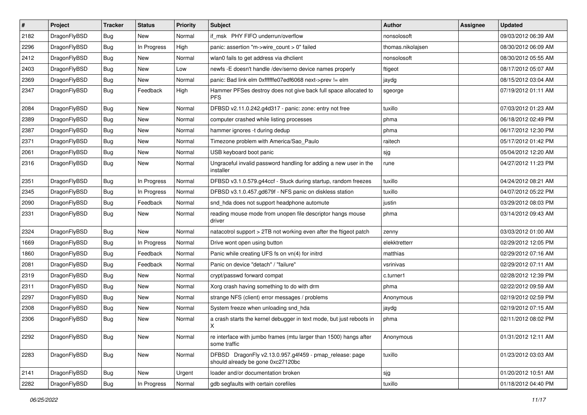| $\vert$ # | Project      | <b>Tracker</b> | <b>Status</b> | <b>Priority</b> | Subject                                                                                      | Author            | <b>Assignee</b> | <b>Updated</b>      |
|-----------|--------------|----------------|---------------|-----------------|----------------------------------------------------------------------------------------------|-------------------|-----------------|---------------------|
| 2182      | DragonFlyBSD | Bug            | New           | Normal          | if msk PHY FIFO underrun/overflow                                                            | nonsolosoft       |                 | 09/03/2012 06:39 AM |
| 2296      | DragonFlyBSD | <b>Bug</b>     | In Progress   | High            | panic: assertion "m->wire count > 0" failed                                                  | thomas.nikolajsen |                 | 08/30/2012 06:09 AM |
| 2412      | DragonFlyBSD | <b>Bug</b>     | New           | Normal          | wlan0 fails to get address via dhclient                                                      | nonsolosoft       |                 | 08/30/2012 05:55 AM |
| 2403      | DragonFlyBSD | Bug            | <b>New</b>    | Low             | newfs -E doesn't handle /dev/serno device names properly                                     | ftigeot           |                 | 08/17/2012 05:07 AM |
| 2369      | DragonFlyBSD | <b>Bug</b>     | New           | Normal          | panic: Bad link elm 0xffffffe07edf6068 next->prev != elm                                     | jaydg             |                 | 08/15/2012 03:04 AM |
| 2347      | DragonFlyBSD | <b>Bug</b>     | Feedback      | High            | Hammer PFSes destroy does not give back full space allocated to<br><b>PFS</b>                | sgeorge           |                 | 07/19/2012 01:11 AM |
| 2084      | DragonFlyBSD | Bug            | <b>New</b>    | Normal          | DFBSD v2.11.0.242.g4d317 - panic: zone: entry not free                                       | tuxillo           |                 | 07/03/2012 01:23 AM |
| 2389      | DragonFlyBSD | <b>Bug</b>     | <b>New</b>    | Normal          | computer crashed while listing processes                                                     | phma              |                 | 06/18/2012 02:49 PM |
| 2387      | DragonFlyBSD | Bug            | <b>New</b>    | Normal          | hammer ignores -t during dedup                                                               | phma              |                 | 06/17/2012 12:30 PM |
| 2371      | DragonFlyBSD | <b>Bug</b>     | New           | Normal          | Timezone problem with America/Sao_Paulo                                                      | raitech           |                 | 05/17/2012 01:42 PM |
| 2061      | DragonFlyBSD | Bug            | New           | Normal          | USB keyboard boot panic                                                                      | sjg               |                 | 05/04/2012 12:20 AM |
| 2316      | DragonFlyBSD | Bug            | New           | Normal          | Ungraceful invalid password handling for adding a new user in the<br>installer               | rune              |                 | 04/27/2012 11:23 PM |
| 2351      | DragonFlyBSD | Bug            | In Progress   | Normal          | DFBSD v3.1.0.579.g44ccf - Stuck during startup, random freezes                               | tuxillo           |                 | 04/24/2012 08:21 AM |
| 2345      | DragonFlyBSD | <b>Bug</b>     | In Progress   | Normal          | DFBSD v3.1.0.457.gd679f - NFS panic on diskless station                                      | tuxillo           |                 | 04/07/2012 05:22 PM |
| 2090      | DragonFlyBSD | Bug            | Feedback      | Normal          | snd_hda does not support headphone automute                                                  | justin            |                 | 03/29/2012 08:03 PM |
| 2331      | DragonFlyBSD | Bug            | New           | Normal          | reading mouse mode from unopen file descriptor hangs mouse<br>driver                         | phma              |                 | 03/14/2012 09:43 AM |
| 2324      | DragonFlyBSD | Bug            | <b>New</b>    | Normal          | natacotrol support > 2TB not working even after the ftigeot patch                            | zenny             |                 | 03/03/2012 01:00 AM |
| 1669      | DragonFlyBSD | <b>Bug</b>     | In Progress   | Normal          | Drive wont open using button                                                                 | elekktretterr     |                 | 02/29/2012 12:05 PM |
| 1860      | DragonFlyBSD | <b>Bug</b>     | Feedback      | Normal          | Panic while creating UFS fs on vn(4) for initrd                                              | matthias          |                 | 02/29/2012 07:16 AM |
| 2081      | DragonFlyBSD | Bug            | Feedback      | Normal          | Panic on device "detach" / "failure"                                                         | vsrinivas         |                 | 02/29/2012 07:11 AM |
| 2319      | DragonFlyBSD | <b>Bug</b>     | New           | Normal          | crypt/passwd forward compat                                                                  | c.turner1         |                 | 02/28/2012 12:39 PM |
| 2311      | DragonFlyBSD | Bug            | New           | Normal          | Xorg crash having something to do with drm                                                   | phma              |                 | 02/22/2012 09:59 AM |
| 2297      | DragonFlyBSD | <b>Bug</b>     | New           | Normal          | strange NFS (client) error messages / problems                                               | Anonymous         |                 | 02/19/2012 02:59 PM |
| 2308      | DragonFlyBSD | Bug            | New           | Normal          | System freeze when unloading snd_hda                                                         | jaydg             |                 | 02/19/2012 07:15 AM |
| 2306      | DragonFlyBSD | Bug            | <b>New</b>    | Normal          | a crash starts the kernel debugger in text mode, but just reboots in<br>Χ                    | phma              |                 | 02/11/2012 08:02 PM |
| 2292      | DragonFlyBSD | Bug            | New           | Normal          | re interface with jumbo frames (mtu larger than 1500) hangs after<br>some traffic            | Anonymous         |                 | 01/31/2012 12:11 AM |
| 2283      | DragonFlyBSD | <b>Bug</b>     | New           | Normal          | DFBSD DragonFly v2.13.0.957.g4f459 - pmap_release: page<br>should already be gone 0xc27120bc | tuxillo           |                 | 01/23/2012 03:03 AM |
| 2141      | DragonFlyBSD | Bug            | New           | Urgent          | loader and/or documentation broken                                                           | sjg               |                 | 01/20/2012 10:51 AM |
| 2282      | DragonFlyBSD | <b>Bug</b>     | In Progress   | Normal          | gdb segfaults with certain corefiles                                                         | tuxillo           |                 | 01/18/2012 04:40 PM |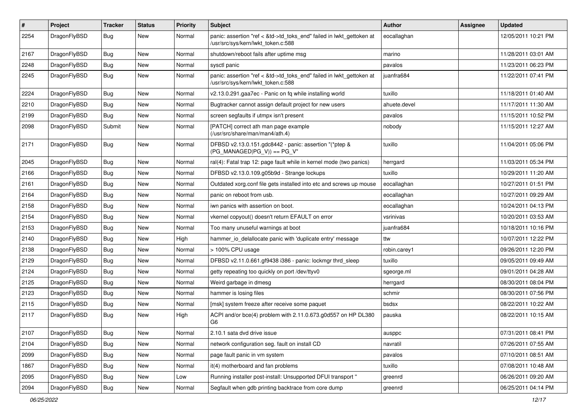| $\pmb{\#}$ | Project      | <b>Tracker</b> | <b>Status</b> | <b>Priority</b> | Subject                                                                                                    | <b>Author</b> | Assignee | <b>Updated</b>      |
|------------|--------------|----------------|---------------|-----------------|------------------------------------------------------------------------------------------------------------|---------------|----------|---------------------|
| 2254       | DragonFlyBSD | Bug            | New           | Normal          | panic: assertion "ref < &td->td_toks_end" failed in lwkt_gettoken at<br>/usr/src/sys/kern/lwkt_token.c:588 | eocallaghan   |          | 12/05/2011 10:21 PM |
| 2167       | DragonFlyBSD | Bug            | New           | Normal          | shutdown/reboot fails after uptime msg                                                                     | marino        |          | 11/28/2011 03:01 AM |
| 2248       | DragonFlyBSD | Bug            | <b>New</b>    | Normal          | sysctl panic                                                                                               | pavalos       |          | 11/23/2011 06:23 PM |
| 2245       | DragonFlyBSD | Bug            | New           | Normal          | panic: assertion "ref < &td->td_toks_end" failed in lwkt_gettoken at<br>/usr/src/sys/kern/lwkt_token.c:588 | juanfra684    |          | 11/22/2011 07:41 PM |
| 2224       | DragonFlyBSD | Bug            | <b>New</b>    | Normal          | v2.13.0.291.gaa7ec - Panic on fq while installing world                                                    | tuxillo       |          | 11/18/2011 01:40 AM |
| 2210       | DragonFlyBSD | Bug            | New           | Normal          | Bugtracker cannot assign default project for new users                                                     | ahuete.devel  |          | 11/17/2011 11:30 AM |
| 2199       | DragonFlyBSD | Bug            | <b>New</b>    | Normal          | screen segfaults if utmpx isn't present                                                                    | pavalos       |          | 11/15/2011 10:52 PM |
| 2098       | DragonFlyBSD | Submit         | New           | Normal          | [PATCH] correct ath man page example<br>(/usr/src/share/man/man4/ath.4)                                    | nobody        |          | 11/15/2011 12:27 AM |
| 2171       | DragonFlyBSD | Bug            | New           | Normal          | DFBSD v2.13.0.151.gdc8442 - panic: assertion "(*ptep &<br>$(PG_MANAGED PG_V)) == PG_V''$                   | tuxillo       |          | 11/04/2011 05:06 PM |
| 2045       | DragonFlyBSD | Bug            | New           | Normal          | ral(4): Fatal trap 12: page fault while in kernel mode (two panics)                                        | herrgard      |          | 11/03/2011 05:34 PM |
| 2166       | DragonFlyBSD | Bug            | New           | Normal          | DFBSD v2.13.0.109.g05b9d - Strange lockups                                                                 | tuxillo       |          | 10/29/2011 11:20 AM |
| 2161       | DragonFlyBSD | Bug            | New           | Normal          | Outdated xorg.conf file gets installed into etc and screws up mouse                                        | eocallaghan   |          | 10/27/2011 01:51 PM |
| 2164       | DragonFlyBSD | Bug            | <b>New</b>    | Normal          | panic on reboot from usb.                                                                                  | eocallaghan   |          | 10/27/2011 09:29 AM |
| 2158       | DragonFlyBSD | Bug            | New           | Normal          | iwn panics with assertion on boot.                                                                         | eocallaghan   |          | 10/24/2011 04:13 PM |
| 2154       | DragonFlyBSD | Bug            | New           | Normal          | vkernel copyout() doesn't return EFAULT on error                                                           | vsrinivas     |          | 10/20/2011 03:53 AM |
| 2153       | DragonFlyBSD | Bug            | New           | Normal          | Too many unuseful warnings at boot                                                                         | juanfra684    |          | 10/18/2011 10:16 PM |
| 2140       | DragonFlyBSD | Bug            | New           | High            | hammer io delallocate panic with 'duplicate entry' message                                                 | ttw           |          | 10/07/2011 12:22 PM |
| 2138       | DragonFlyBSD | Bug            | <b>New</b>    | Normal          | > 100% CPU usage                                                                                           | robin.carey1  |          | 09/26/2011 12:20 PM |
| 2129       | DragonFlyBSD | Bug            | New           | Normal          | DFBSD v2.11.0.661.gf9438 i386 - panic: lockmgr thrd_sleep                                                  | tuxillo       |          | 09/05/2011 09:49 AM |
| 2124       | DragonFlyBSD | Bug            | <b>New</b>    | Normal          | getty repeating too quickly on port /dev/ttyv0                                                             | sgeorge.ml    |          | 09/01/2011 04:28 AM |
| 2125       | DragonFlyBSD | Bug            | New           | Normal          | Weird garbage in dmesg                                                                                     | herrgard      |          | 08/30/2011 08:04 PM |
| 2123       | DragonFlyBSD | Bug            | <b>New</b>    | Normal          | hammer is losing files                                                                                     | schmir        |          | 08/30/2011 07:56 PM |
| 2115       | DragonFlyBSD | Bug            | New           | Normal          | [msk] system freeze after receive some paquet                                                              | bsdsx         |          | 08/22/2011 10:22 AM |
| 2117       | DragonFlyBSD | Bug            | New           | High            | ACPI and/or bce(4) problem with 2.11.0.673.g0d557 on HP DL380<br>G6                                        | pauska        |          | 08/22/2011 10:15 AM |
| 2107       | DragonFlyBSD | Bug            | New           | Normal          | 2.10.1 sata dvd drive issue                                                                                | ausppc        |          | 07/31/2011 08:41 PM |
| 2104       | DragonFlyBSD | Bug            | New           | Normal          | network configuration seg. fault on install CD                                                             | navratil      |          | 07/26/2011 07:55 AM |
| 2099       | DragonFlyBSD | <b>Bug</b>     | New           | Normal          | page fault panic in vm system                                                                              | pavalos       |          | 07/10/2011 08:51 AM |
| 1867       | DragonFlyBSD | Bug            | New           | Normal          | it(4) motherboard and fan problems                                                                         | tuxillo       |          | 07/08/2011 10:48 AM |
| 2095       | DragonFlyBSD | <b>Bug</b>     | New           | Low             | Running installer post-install: Unsupported DFUI transport "                                               | greenrd       |          | 06/26/2011 09:20 AM |
| 2094       | DragonFlyBSD | Bug            | New           | Normal          | Segfault when gdb printing backtrace from core dump                                                        | greenrd       |          | 06/25/2011 04:14 PM |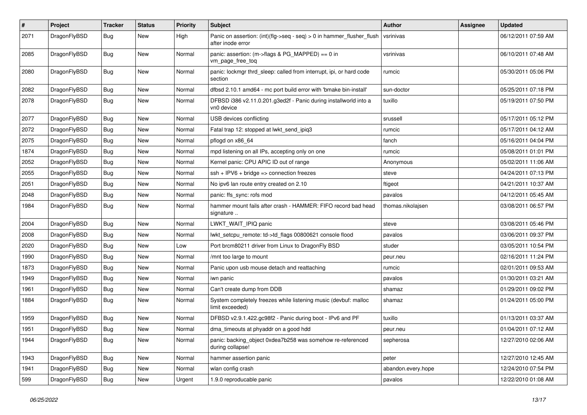| $\sharp$ | Project      | <b>Tracker</b> | <b>Status</b> | <b>Priority</b> | Subject                                                                                       | <b>Author</b>      | <b>Assignee</b> | <b>Updated</b>      |
|----------|--------------|----------------|---------------|-----------------|-----------------------------------------------------------------------------------------------|--------------------|-----------------|---------------------|
| 2071     | DragonFlyBSD | Bug            | New           | High            | Panic on assertion: $(int)(flag->seq - seq) > 0$ in hammer flusher flush<br>after inode error | vsrinivas          |                 | 06/12/2011 07:59 AM |
| 2085     | DragonFlyBSD | Bug            | <b>New</b>    | Normal          | panic: assertion: (m->flags & PG_MAPPED) == 0 in<br>vm page free tog                          | vsrinivas          |                 | 06/10/2011 07:48 AM |
| 2080     | DragonFlyBSD | Bug            | <b>New</b>    | Normal          | panic: lockmgr thrd sleep: called from interrupt, ipi, or hard code<br>section                | rumcic             |                 | 05/30/2011 05:06 PM |
| 2082     | DragonFlyBSD | Bug            | <b>New</b>    | Normal          | dfbsd 2.10.1 amd64 - mc port build error with 'bmake bin-install'                             | sun-doctor         |                 | 05/25/2011 07:18 PM |
| 2078     | DragonFlyBSD | Bug            | New           | Normal          | DFBSD i386 v2.11.0.201.g3ed2f - Panic during installworld into a<br>vn0 device                | tuxillo            |                 | 05/19/2011 07:50 PM |
| 2077     | DragonFlyBSD | Bug            | <b>New</b>    | Normal          | USB devices conflicting                                                                       | srussell           |                 | 05/17/2011 05:12 PM |
| 2072     | DragonFlyBSD | <b>Bug</b>     | New           | Normal          | Fatal trap 12: stopped at lwkt_send_ipiq3                                                     | rumcic             |                 | 05/17/2011 04:12 AM |
| 2075     | DragonFlyBSD | <b>Bug</b>     | New           | Normal          | pflogd on x86_64                                                                              | fanch              |                 | 05/16/2011 04:04 PM |
| 1874     | DragonFlyBSD | <b>Bug</b>     | New           | Normal          | mpd listening on all IPs, accepting only on one                                               | rumcic             |                 | 05/08/2011 01:01 PM |
| 2052     | DragonFlyBSD | <b>Bug</b>     | <b>New</b>    | Normal          | Kernel panic: CPU APIC ID out of range                                                        | Anonymous          |                 | 05/02/2011 11:06 AM |
| 2055     | DragonFlyBSD | Bug            | <b>New</b>    | Normal          | $ssh + IPV6 + bridge \Rightarrow$ connection freezes                                          | steve              |                 | 04/24/2011 07:13 PM |
| 2051     | DragonFlyBSD | <b>Bug</b>     | New           | Normal          | No ipv6 lan route entry created on 2.10                                                       | ftigeot            |                 | 04/21/2011 10:37 AM |
| 2048     | DragonFlyBSD | <b>Bug</b>     | New           | Normal          | panic: ffs_sync: rofs mod                                                                     | pavalos            |                 | 04/12/2011 05:45 AM |
| 1984     | DragonFlyBSD | Bug            | <b>New</b>    | Normal          | hammer mount fails after crash - HAMMER: FIFO record bad head<br>signature                    | thomas.nikolaisen  |                 | 03/08/2011 06:57 PM |
| 2004     | DragonFlyBSD | Bug            | <b>New</b>    | Normal          | LWKT_WAIT_IPIQ panic                                                                          | steve              |                 | 03/08/2011 05:46 PM |
| 2008     | DragonFlyBSD | <b>Bug</b>     | <b>New</b>    | Normal          | lwkt_setcpu_remote: td->td_flags 00800621 console flood                                       | pavalos            |                 | 03/06/2011 09:37 PM |
| 2020     | DragonFlyBSD | <b>Bug</b>     | <b>New</b>    | Low             | Port brcm80211 driver from Linux to DragonFly BSD                                             | studer             |                 | 03/05/2011 10:54 PM |
| 1990     | DragonFlyBSD | Bug            | <b>New</b>    | Normal          | /mnt too large to mount                                                                       | peur.neu           |                 | 02/16/2011 11:24 PM |
| 1873     | DragonFlyBSD | <b>Bug</b>     | New           | Normal          | Panic upon usb mouse detach and reattaching                                                   | rumcic             |                 | 02/01/2011 09:53 AM |
| 1949     | DragonFlyBSD | <b>Bug</b>     | <b>New</b>    | Normal          | iwn panic                                                                                     | pavalos            |                 | 01/30/2011 03:21 AM |
| 1961     | DragonFlyBSD | <b>Bug</b>     | <b>New</b>    | Normal          | Can't create dump from DDB                                                                    | shamaz             |                 | 01/29/2011 09:02 PM |
| 1884     | DragonFlyBSD | <b>Bug</b>     | <b>New</b>    | Normal          | System completely freezes while listening music (devbuf: malloc<br>limit exceeded)            | shamaz             |                 | 01/24/2011 05:00 PM |
| 1959     | DragonFlyBSD | <b>Bug</b>     | New           | Normal          | DFBSD v2.9.1.422.gc98f2 - Panic during boot - IPv6 and PF                                     | tuxillo            |                 | 01/13/2011 03:37 AM |
| 1951     | DragonFlyBSD | Bug            | <b>New</b>    | Normal          | dma timeouts at phyaddr on a good hdd                                                         | peur.neu           |                 | 01/04/2011 07:12 AM |
| 1944     | DragonFlyBSD | <b>Bug</b>     | New           | Normal          | panic: backing_object 0xdea7b258 was somehow re-referenced<br>during collapse!                | sepherosa          |                 | 12/27/2010 02:06 AM |
| 1943     | DragonFlyBSD | <b>Bug</b>     | <b>New</b>    | Normal          | hammer assertion panic                                                                        | peter              |                 | 12/27/2010 12:45 AM |
| 1941     | DragonFlyBSD | <b>Bug</b>     | <b>New</b>    | Normal          | wlan config crash                                                                             | abandon.every.hope |                 | 12/24/2010 07:54 PM |
| 599      | DragonFlyBSD | <b>Bug</b>     | New           | Urgent          | 1.9.0 reproducable panic                                                                      | pavalos            |                 | 12/22/2010 01:08 AM |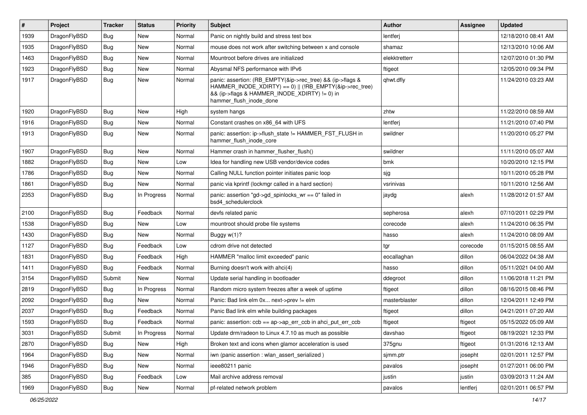| $\vert$ # | Project      | <b>Tracker</b> | <b>Status</b> | <b>Priority</b> | Subject                                                                                                                                                                                           | <b>Author</b> | <b>Assignee</b> | <b>Updated</b>      |
|-----------|--------------|----------------|---------------|-----------------|---------------------------------------------------------------------------------------------------------------------------------------------------------------------------------------------------|---------------|-----------------|---------------------|
| 1939      | DragonFlyBSD | Bug            | <b>New</b>    | Normal          | Panic on nightly build and stress test box                                                                                                                                                        | lentferj      |                 | 12/18/2010 08:41 AM |
| 1935      | DragonFlyBSD | Bug            | New           | Normal          | mouse does not work after switching between x and console                                                                                                                                         | shamaz        |                 | 12/13/2010 10:06 AM |
| 1463      | DragonFlyBSD | <b>Bug</b>     | New           | Normal          | Mountroot before drives are initialized                                                                                                                                                           | elekktretterr |                 | 12/07/2010 01:30 PM |
| 1923      | DragonFlyBSD | Bug            | New           | Normal          | Abysmal NFS performance with IPv6                                                                                                                                                                 | ftigeot       |                 | 12/05/2010 09:34 PM |
| 1917      | DragonFlyBSD | Bug            | New           | Normal          | panic: assertion: (RB_EMPTY(&ip->rec_tree) && (ip->flags &<br>HAMMER_INODE_XDIRTY) == 0)    (!RB_EMPTY(&ip->rec_tree)<br>&& (ip->flags & HAMMER_INODE_XDIRTY) != 0) in<br>hammer_flush_inode_done | qhwt.dfly     |                 | 11/24/2010 03:23 AM |
| 1920      | DragonFlyBSD | Bug            | <b>New</b>    | High            | system hangs                                                                                                                                                                                      | zhtw          |                 | 11/22/2010 08:59 AM |
| 1916      | DragonFlyBSD | Bug            | <b>New</b>    | Normal          | Constant crashes on x86_64 with UFS                                                                                                                                                               | lentferj      |                 | 11/21/2010 07:40 PM |
| 1913      | DragonFlyBSD | Bug            | New           | Normal          | panic: assertion: ip->flush_state != HAMMER_FST_FLUSH in<br>hammer_flush_inode_core                                                                                                               | swildner      |                 | 11/20/2010 05:27 PM |
| 1907      | DragonFlyBSD | Bug            | <b>New</b>    | Normal          | Hammer crash in hammer_flusher_flush()                                                                                                                                                            | swildner      |                 | 11/11/2010 05:07 AM |
| 1882      | DragonFlyBSD | Bug            | New           | Low             | Idea for handling new USB vendor/device codes                                                                                                                                                     | bmk           |                 | 10/20/2010 12:15 PM |
| 1786      | DragonFlyBSD | Bug            | New           | Normal          | Calling NULL function pointer initiates panic loop                                                                                                                                                | sjg           |                 | 10/11/2010 05:28 PM |
| 1861      | DragonFlyBSD | Bug            | New           | Normal          | panic via kprintf (lockmgr called in a hard section)                                                                                                                                              | vsrinivas     |                 | 10/11/2010 12:56 AM |
| 2353      | DragonFlyBSD | Bug            | In Progress   | Normal          | panic: assertion "gd->gd_spinlocks_wr == 0" failed in<br>bsd4_schedulerclock                                                                                                                      | jaydg         | alexh           | 11/28/2012 01:57 AM |
| 2100      | DragonFlyBSD | Bug            | Feedback      | Normal          | devfs related panic                                                                                                                                                                               | sepherosa     | alexh           | 07/10/2011 02:29 PM |
| 1538      | DragonFlyBSD | Bug            | New           | Low             | mountroot should probe file systems                                                                                                                                                               | corecode      | alexh           | 11/24/2010 06:35 PM |
| 1430      | DragonFlyBSD | Bug            | <b>New</b>    | Normal          | Buggy w(1)?                                                                                                                                                                                       | hasso         | alexh           | 11/24/2010 08:09 AM |
| 1127      | DragonFlyBSD | <b>Bug</b>     | Feedback      | Low             | cdrom drive not detected                                                                                                                                                                          | tgr           | corecode        | 01/15/2015 08:55 AM |
| 1831      | DragonFlyBSD | Bug            | Feedback      | High            | HAMMER "malloc limit exceeded" panic                                                                                                                                                              | eocallaghan   | dillon          | 06/04/2022 04:38 AM |
| 1411      | DragonFlyBSD | Bug            | Feedback      | Normal          | Burning doesn't work with ahci(4)                                                                                                                                                                 | hasso         | dillon          | 05/11/2021 04:00 AM |
| 3154      | DragonFlyBSD | Submit         | New           | Normal          | Update serial handling in bootloader                                                                                                                                                              | ddegroot      | dillon          | 11/06/2018 11:21 PM |
| 2819      | DragonFlyBSD | Bug            | In Progress   | Normal          | Random micro system freezes after a week of uptime                                                                                                                                                | ftigeot       | dillon          | 08/16/2015 08:46 PM |
| 2092      | DragonFlyBSD | Bug            | <b>New</b>    | Normal          | Panic: Bad link elm 0x next->prev != elm                                                                                                                                                          | masterblaster | dillon          | 12/04/2011 12:49 PM |
| 2037      | DragonFlyBSD | Bug            | Feedback      | Normal          | Panic Bad link elm while building packages                                                                                                                                                        | ftigeot       | dillon          | 04/21/2011 07:20 AM |
| 1593      | DragonFlyBSD | Bug            | Feedback      | Normal          | panic: assertion: ccb == ap->ap_err_ccb in ahci_put_err_ccb                                                                                                                                       | ftigeot       | ftigeot         | 05/15/2022 05:09 AM |
| 3031      | DragonFlyBSD | Submit         | In Progress   | Normal          | Update drm/radeon to Linux 4.7.10 as much as possible                                                                                                                                             | davshao       | ftigeot         | 08/19/2021 12:33 PM |
| 2870      | DragonFlyBSD | Bug            | New           | High            | Broken text and icons when glamor acceleration is used                                                                                                                                            | 375gnu        | ftigeot         | 01/31/2016 12:13 AM |
| 1964      | DragonFlyBSD | <b>Bug</b>     | New           | Normal          | iwn (panic assertion : wlan assert serialized)                                                                                                                                                    | sjmm.ptr      | josepht         | 02/01/2011 12:57 PM |
| 1946      | DragonFlyBSD | Bug            | New           | Normal          | ieee80211 panic                                                                                                                                                                                   | pavalos       | josepht         | 01/27/2011 06:00 PM |
| 385       | DragonFlyBSD | <b>Bug</b>     | Feedback      | Low             | Mail archive address removal                                                                                                                                                                      | justin        | justin          | 03/09/2013 11:24 AM |
| 1969      | DragonFlyBSD | Bug            | New           | Normal          | pf-related network problem                                                                                                                                                                        | pavalos       | lentferj        | 02/01/2011 06:57 PM |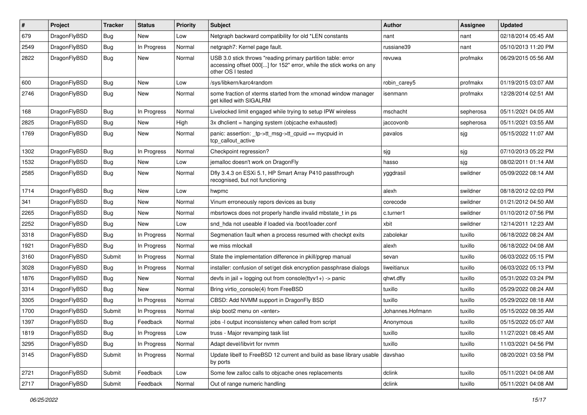| #    | Project      | <b>Tracker</b> | <b>Status</b> | <b>Priority</b> | Subject                                                                                                                                                  | <b>Author</b>    | Assignee  | <b>Updated</b>      |
|------|--------------|----------------|---------------|-----------------|----------------------------------------------------------------------------------------------------------------------------------------------------------|------------------|-----------|---------------------|
| 679  | DragonFlyBSD | <b>Bug</b>     | New           | Low             | Netgraph backward compatibility for old *LEN constants                                                                                                   | nant             | nant      | 02/18/2014 05:45 AM |
| 2549 | DragonFlyBSD | Bug            | In Progress   | Normal          | netgraph7: Kernel page fault.                                                                                                                            | russiane39       | nant      | 05/10/2013 11:20 PM |
| 2822 | DragonFlyBSD | Bug            | New           | Normal          | USB 3.0 stick throws "reading primary partition table: error<br>accessing offset 000[] for 152" error, while the stick works on any<br>other OS I tested | revuwa           | profmakx  | 06/29/2015 05:56 AM |
| 600  | DragonFlyBSD | Bug            | New           | Low             | /sys/libkern/karc4random                                                                                                                                 | robin carey5     | profmakx  | 01/19/2015 03:07 AM |
| 2746 | DragonFlyBSD | <b>Bug</b>     | New           | Normal          | some fraction of xterms started from the xmonad window manager<br>get killed with SIGALRM                                                                | isenmann         | profmakx  | 12/28/2014 02:51 AM |
| 168  | DragonFlyBSD | <b>Bug</b>     | In Progress   | Normal          | Livelocked limit engaged while trying to setup IPW wireless                                                                                              | mschacht         | sepherosa | 05/11/2021 04:05 AM |
| 2825 | DragonFlyBSD | Bug            | <b>New</b>    | High            | $3x$ dhclient = hanging system (objcache exhausted)                                                                                                      | jaccovonb        | sepherosa | 05/11/2021 03:55 AM |
| 1769 | DragonFlyBSD | <b>Bug</b>     | New           | Normal          | panic: assertion: _tp->tt_msg->tt_cpuid == mycpuid in<br>tcp callout active                                                                              | pavalos          | sjg       | 05/15/2022 11:07 AM |
| 1302 | DragonFlyBSD | Bug            | In Progress   | Normal          | Checkpoint regression?                                                                                                                                   | sjg              | sjg       | 07/10/2013 05:22 PM |
| 1532 | DragonFlyBSD | <b>Bug</b>     | New           | Low             | jemalloc doesn't work on DragonFly                                                                                                                       | hasso            | sjg       | 08/02/2011 01:14 AM |
| 2585 | DragonFlyBSD | Bug            | New           | Normal          | Dfly 3.4.3 on ESXi 5.1, HP Smart Array P410 passthrough<br>recognised, but not functioning                                                               | yggdrasil        | swildner  | 05/09/2022 08:14 AM |
| 1714 | DragonFlyBSD | Bug            | <b>New</b>    | Low             | hwpmc                                                                                                                                                    | alexh            | swildner  | 08/18/2012 02:03 PM |
| 341  | DragonFlyBSD | Bug            | New           | Normal          | Vinum erroneously repors devices as busy                                                                                                                 | corecode         | swildner  | 01/21/2012 04:50 AM |
| 2265 | DragonFlyBSD | Bug            | <b>New</b>    | Normal          | mbsrtowcs does not properly handle invalid mbstate t in ps                                                                                               | c.turner1        | swildner  | 01/10/2012 07:56 PM |
| 2252 | DragonFlyBSD | Bug            | <b>New</b>    | Low             | snd hda not useable if loaded via /boot/loader.conf                                                                                                      | xbit             | swildner  | 12/14/2011 12:23 AM |
| 3318 | DragonFlyBSD | Bug            | In Progress   | Normal          | Segmenation fault when a process resumed with checkpt exits                                                                                              | zabolekar        | tuxillo   | 06/18/2022 08:24 AM |
| 1921 | DragonFlyBSD | Bug            | In Progress   | Normal          | we miss mlockall                                                                                                                                         | alexh            | tuxillo   | 06/18/2022 04:08 AM |
| 3160 | DragonFlyBSD | Submit         | In Progress   | Normal          | State the implementation difference in pkill/pgrep manual                                                                                                | sevan            | tuxillo   | 06/03/2022 05:15 PM |
| 3028 | DragonFlyBSD | Bug            | In Progress   | Normal          | installer: confusion of set/get disk encryption passphrase dialogs                                                                                       | liweitianux      | tuxillo   | 06/03/2022 05:13 PM |
| 1876 | DragonFlyBSD | Bug            | New           | Normal          | devfs in jail + logging out from console(ttyv1+) -> panic                                                                                                | qhwt.dfly        | tuxillo   | 05/31/2022 03:24 PM |
| 3314 | DragonFlyBSD | Bug            | New           | Normal          | Bring virtio console(4) from FreeBSD                                                                                                                     | tuxillo          | tuxillo   | 05/29/2022 08:24 AM |
| 3305 | DragonFlyBSD | <b>Bug</b>     | In Progress   | Normal          | CBSD: Add NVMM support in DragonFly BSD                                                                                                                  | tuxillo          | tuxillo   | 05/29/2022 08:18 AM |
| 1700 | DragonFlyBSD | Submit         | In Progress   | Normal          | skip boot2 menu on <enter></enter>                                                                                                                       | Johannes.Hofmann | tuxillo   | 05/15/2022 08:35 AM |
| 1397 | DragonFlyBSD | <b>Bug</b>     | Feedback      | Normal          | jobs -I output inconsistency when called from script                                                                                                     | Anonymous        | tuxillo   | 05/15/2022 05:07 AM |
| 1819 | DragonFlyBSD | <b>Bug</b>     | In Progress   | LOW             | truss - Major revamping task list                                                                                                                        | tuxillo          | tuxillo   | 11/27/2021 08:45 AM |
| 3295 | DragonFlyBSD | <b>Bug</b>     | In Progress   | Normal          | Adapt devel/libvirt for nvmm                                                                                                                             | tuxillo          | tuxillo   | 11/03/2021 04:56 PM |
| 3145 | DragonFlyBSD | Submit         | In Progress   | Normal          | Update libelf to FreeBSD 12 current and build as base library usable<br>by ports                                                                         | davshao          | tuxillo   | 08/20/2021 03:58 PM |
| 2721 | DragonFlyBSD | Submit         | Feedback      | Low             | Some few zalloc calls to objcache ones replacements                                                                                                      | dclink           | tuxillo   | 05/11/2021 04:08 AM |
| 2717 | DragonFlyBSD | Submit         | Feedback      | Normal          | Out of range numeric handling                                                                                                                            | dclink           | tuxillo   | 05/11/2021 04:08 AM |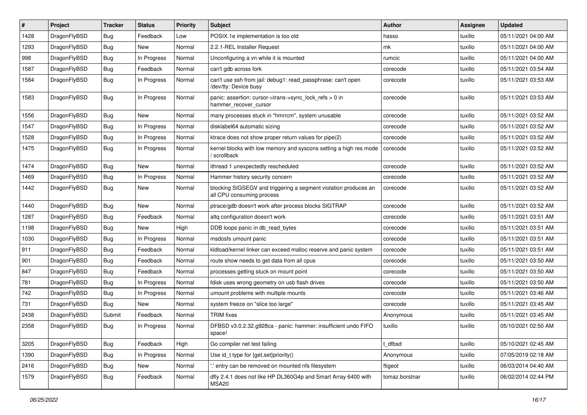| #    | Project      | Tracker    | <b>Status</b> | <b>Priority</b> | Subject                                                                                      | <b>Author</b>  | <b>Assignee</b> | <b>Updated</b>      |
|------|--------------|------------|---------------|-----------------|----------------------------------------------------------------------------------------------|----------------|-----------------|---------------------|
| 1428 | DragonFlyBSD | <b>Bug</b> | Feedback      | Low             | POSIX.1e implementation is too old                                                           | hasso          | tuxillo         | 05/11/2021 04:00 AM |
| 1293 | DragonFlyBSD | <b>Bug</b> | New           | Normal          | 2.2.1-REL Installer Request                                                                  | mk             | tuxillo         | 05/11/2021 04:00 AM |
| 998  | DragonFlyBSD | Bug        | In Progress   | Normal          | Unconfiguring a vn while it is mounted                                                       | rumcic         | tuxillo         | 05/11/2021 04:00 AM |
| 1587 | DragonFlyBSD | Bug        | Feedback      | Normal          | can't gdb across fork                                                                        | corecode       | tuxillo         | 05/11/2021 03:54 AM |
| 1584 | DragonFlyBSD | Bug        | In Progress   | Normal          | can't use ssh from jail: debug1: read passphrase: can't open<br>/dev/tty: Device busy        | corecode       | tuxillo         | 05/11/2021 03:53 AM |
| 1583 | DragonFlyBSD | Bug        | In Progress   | Normal          | panic: assertion: cursor->trans->sync_lock_refs > 0 in<br>hammer_recover_cursor              | corecode       | tuxillo         | 05/11/2021 03:53 AM |
| 1556 | DragonFlyBSD | Bug        | New           | Normal          | many processes stuck in "hmrrcm", system unusable                                            | corecode       | tuxillo         | 05/11/2021 03:52 AM |
| 1547 | DragonFlyBSD | <b>Bug</b> | In Progress   | Normal          | disklabel64 automatic sizing                                                                 | corecode       | tuxillo         | 05/11/2021 03:52 AM |
| 1528 | DragonFlyBSD | <b>Bug</b> | In Progress   | Normal          | ktrace does not show proper return values for pipe(2)                                        | corecode       | tuxillo         | 05/11/2021 03:52 AM |
| 1475 | DragonFlyBSD | <b>Bug</b> | In Progress   | Normal          | kernel blocks with low memory and syscons setting a high res mode<br>/ scrollback            | corecode       | tuxillo         | 05/11/2021 03:52 AM |
| 1474 | DragonFlyBSD | <b>Bug</b> | New           | Normal          | ithread 1 unexpectedly rescheduled                                                           | corecode       | tuxillo         | 05/11/2021 03:52 AM |
| 1469 | DragonFlyBSD | <b>Bug</b> | In Progress   | Normal          | Hammer history security concern                                                              | corecode       | tuxillo         | 05/11/2021 03:52 AM |
| 1442 | DragonFlyBSD | <b>Bug</b> | New           | Normal          | blocking SIGSEGV and triggering a segment violation produces an<br>all CPU consuming process | corecode       | tuxillo         | 05/11/2021 03:52 AM |
| 1440 | DragonFlyBSD | Bug        | New           | Normal          | ptrace/gdb doesn't work after process blocks SIGTRAP                                         | corecode       | tuxillo         | 05/11/2021 03:52 AM |
| 1287 | DragonFlyBSD | Bug        | Feedback      | Normal          | altq configuration doesn't work                                                              | corecode       | tuxillo         | 05/11/2021 03:51 AM |
| 1198 | DragonFlyBSD | Bug        | New           | High            | DDB loops panic in db read bytes                                                             | corecode       | tuxillo         | 05/11/2021 03:51 AM |
| 1030 | DragonFlyBSD | <b>Bug</b> | In Progress   | Normal          | msdosfs umount panic                                                                         | corecode       | tuxillo         | 05/11/2021 03:51 AM |
| 911  | DragonFlyBSD | Bug        | Feedback      | Normal          | kidload/kernel linker can exceed malloc reserve and panic system                             | corecode       | tuxillo         | 05/11/2021 03:51 AM |
| 901  | DragonFlyBSD | <b>Bug</b> | Feedback      | Normal          | route show needs to get data from all cpus                                                   | corecode       | tuxillo         | 05/11/2021 03:50 AM |
| 847  | DragonFlyBSD | <b>Bug</b> | Feedback      | Normal          | processes getting stuck on mount point                                                       | corecode       | tuxillo         | 05/11/2021 03:50 AM |
| 781  | DragonFlyBSD | <b>Bug</b> | In Progress   | Normal          | fdisk uses wrong geometry on usb flash drives                                                | corecode       | tuxillo         | 05/11/2021 03:50 AM |
| 742  | DragonFlyBSD | <b>Bug</b> | In Progress   | Normal          | umount problems with multiple mounts                                                         | corecode       | tuxillo         | 05/11/2021 03:46 AM |
| 731  | DragonFlyBSD | <b>Bug</b> | New           | Normal          | system freeze on "slice too large"                                                           | corecode       | tuxillo         | 05/11/2021 03:45 AM |
| 2438 | DragonFlyBSD | Submit     | Feedback      | Normal          | TRIM fixes                                                                                   | Anonymous      | tuxillo         | 05/11/2021 03:45 AM |
| 2358 | DragonFlyBSD | Bug        | In Progress   | Normal          | DFBSD v3.0.2.32.g928ca - panic: hammer: insufficient undo FIFO<br>space!                     | tuxillo        | tuxillo         | 05/10/2021 02:50 AM |
| 3205 | DragonFlyBSD | Bug        | Feedback      | High            | Go compiler net test failing                                                                 | t_dfbsd        | tuxillo         | 05/10/2021 02:45 AM |
| 1390 | DragonFlyBSD | <b>Bug</b> | In Progress   | Normal          | Use id_t type for {get,set}priority()                                                        | Anonymous      | tuxillo         | 07/05/2019 02:18 AM |
| 2416 | DragonFlyBSD | <b>Bug</b> | New           | Normal          | ".' entry can be removed on mounted nfs filesystem                                           | ftigeot        | tuxillo         | 06/03/2014 04:40 AM |
| 1579 | DragonFlyBSD | <b>Bug</b> | Feedback      | Normal          | dfly 2.4.1 does not like HP DL360G4p and Smart Array 6400 with<br>MSA20                      | tomaz.borstnar | tuxillo         | 06/02/2014 02:44 PM |